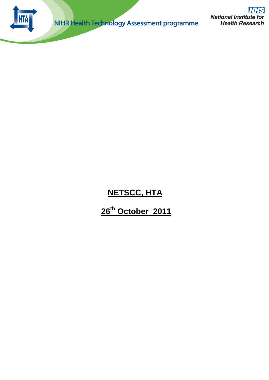

**NHS National Institute for Health Research** 

# **NETSCC, HTA**

# **26 th October 2011**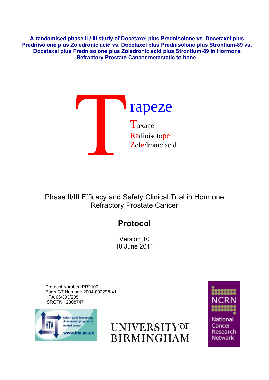**A randomised phase II / III study of Docetaxel plus Prednisolone vs. Docetaxel plus Prednisolone plus Zoledronic acid vs. Docetaxel plus Prednisolone plus Strontium-89 vs. Docetaxel plus Prednisolone plus Zoledronic acid plus Strontium-89 in Hormone Refractory Prostate Cancer metastatic to bone.** 



Phase II/III Efficacy and Safety Clinical Trial in Hormone Refractory Prostate Cancer

# **Protocol**

Version 10 10 June 2011

 Protocol Number: PR2100 EudraCT Number: 2004-002295-41 HTA 06/303/205 ISRCTN 12808747



**UNIVERSITYOF BIRMINGHAM** 

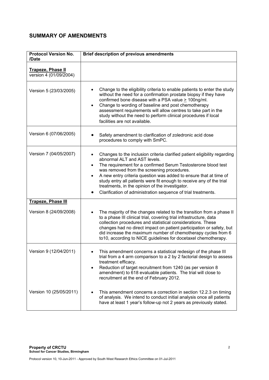# **SUMMARY OF AMENDMENTS**

| <b>Protocol Version No.</b><br>/Date               | <b>Brief description of previous amendments</b>                                                                                                                                                                                                                                                                                                                                                                                                                                                                                  |
|----------------------------------------------------|----------------------------------------------------------------------------------------------------------------------------------------------------------------------------------------------------------------------------------------------------------------------------------------------------------------------------------------------------------------------------------------------------------------------------------------------------------------------------------------------------------------------------------|
| <b>Trapeze, Phase II</b><br>version 4 (01/09/2004) |                                                                                                                                                                                                                                                                                                                                                                                                                                                                                                                                  |
| Version 5 (23/03/2005)                             | Change to the eligibility criteria to enable patients to enter the study<br>without the need for a confirmation prostate biopsy if they have<br>confirmed bone disease with a PSA value $\geq$ 100ng/ml.<br>Change to wording of baseline and post chemotherapy<br>$\bullet$<br>assessment requirements will allow centres to take part in the<br>study without the need to perform clinical procedures if local<br>facilities are not available.                                                                                |
| Version 6 (07/06/2005)                             | Safety amendment to clarification of zoledronic acid dose<br>procedures to comply with SmPC.                                                                                                                                                                                                                                                                                                                                                                                                                                     |
| Version 7 (04/05/2007)                             | Changes to the inclusion criteria clarified patient eligibility regarding<br>$\bullet$<br>abnormal ALT and AST levels.<br>The requirement for a confirmed Serum Testosterone blood test<br>$\bullet$<br>was removed from the screening procedures.<br>A new entry criteria question was added to ensure that at time of<br>$\bullet$<br>study entry all patients were fit enough to receive any of the trial<br>treatments, in the opinion of the investigator.<br>Clarification of administration sequence of trial treatments. |
| Trapeze, Phase III                                 |                                                                                                                                                                                                                                                                                                                                                                                                                                                                                                                                  |
| Version 8 (24/09/2008)                             | The majority of the changes related to the transition from a phase II<br>to a phase III clinical trial, covering trial infrastructure, data<br>collection procedures and statistical considerations. These<br>changes had no direct impact on patient participation or safety, but<br>did increase the maximum number of chemotherapy cycles from 6<br>to10, according to NICE guidelines for docetaxel chemotherapy.                                                                                                            |
| Version 9 (12/04/2011)                             | This amendment concerns a statistical redesign of the phase III<br>trial from a 4 arm comparison to a 2 by 2 factorial design to assess<br>treatment efficacy.<br>Reduction of target recruitment from 1240 (as per version 8<br>$\bullet$<br>amendment) to 618 evaluable patients. The trial will close to<br>recruitment at the end of February 2012.                                                                                                                                                                          |
| Version 10 (25/05/2011)                            | This amendment concerns a correction in section 12.2.3 on timing<br>of analysis. We intend to conduct initial analysis once all patients<br>have at least 1 year's follow-up not 2 years as previously stated.                                                                                                                                                                                                                                                                                                                   |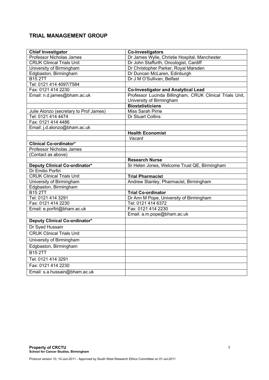# **TRIAL MANAGEMENT GROUP**

| <b>Chief Investigator</b>              | Co-Investigators                                         |
|----------------------------------------|----------------------------------------------------------|
| Professor Nicholas James               | Dr James Wylie, Christie Hospital, Manchester            |
| <b>CRUK Clinical Trials Unit</b>       | Dr John Staffurth, Oncologist, Cardiff                   |
| University of Birmingham               | Dr Christopher Parker, Royal Marsden                     |
| Edgbaston, Birmingham                  | Dr Duncan McLaren, Edinburgh                             |
| <b>B15 2TT</b>                         | Dr J M O'Sullivan, Belfast                               |
| Tel: 0121 414 4097/7584                |                                                          |
| Fax: 0121 414 2230                     | <b>Co-Investigator and Analytical Lead</b>               |
| Email: n.d.james@bham.ac.uk            | Professor Lucinda Billingham, CRUK Clinical Trials Unit, |
|                                        | University of Birmingham                                 |
|                                        | <b>Biostatisticians</b>                                  |
| Julie Alonzo (secretary to Prof James) | Miss Sarah Pirrie                                        |
| Tel: 0121 414 4474                     | <b>Dr Stuart Collins</b>                                 |
| Fax: 0121 414 4486                     |                                                          |
| Email: j.d.alonzo@bham.ac.uk           |                                                          |
|                                        | <b>Health Economist</b>                                  |
| <b>Clinical Co-ordinator*</b>          | Vacant                                                   |
| Professor Nicholas James               |                                                          |
| (Contact as above)                     |                                                          |
|                                        | <b>Research Nurse</b>                                    |
| <b>Deputy Clinical Co-ordinator*</b>   | Sr Helen Jones, Welcome Trust QE, Birmingham             |
| Dr Emilio Porfiri                      |                                                          |
| <b>CRUK Clinical Trials Unit</b>       | <b>Trial Pharmacist</b>                                  |
| University of Birmingham               | Andrew Stanley, Pharmacist, Birmingham                   |
| Edgbaston, Birmingham                  |                                                          |
| <b>B15 2TT</b>                         | <b>Trial Co-ordinator</b>                                |
| Tel: 0121 414 3291                     | Dr Ann M Pope, University of Birmingham                  |
| Fax: 0121 414 2230                     | Tel: 0121 414 6372                                       |
| Email: e.porfiri@bham.ac.uk            | Fax: 0121 414 2230                                       |
|                                        | Email: a.m.pope@bham.ac.uk                               |
| <b>Deputy Clinical Co-ordinator*</b>   |                                                          |
| Dr Syed Hussain                        |                                                          |
| <b>CRUK Clinical Trials Unit</b>       |                                                          |
| University of Birmingham               |                                                          |
| Edgbaston, Birmingham                  |                                                          |
| <b>B152TT</b>                          |                                                          |
| Tel: 0121 414 3291                     |                                                          |
| Fax: 0121 414 2230                     |                                                          |
| Email: s.a.hussain@bham.ac.uk          |                                                          |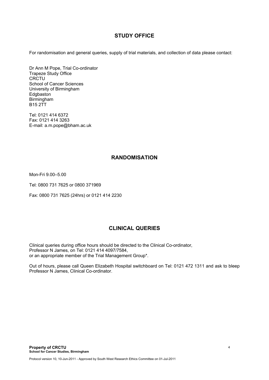# **STUDY OFFICE**

For randomisation and general queries, supply of trial materials, and collection of data please contact:

Dr Ann M Pope, Trial Co-ordinator Trapeze Study Office **CRCTU** School of Cancer Sciences University of Birmingham **Edgbaston** Birmingham B15 2TT

Tel: 0121 414 6372 Fax: 0121 414 3263 E-mail: a.m.pope@bham.ac.uk

# **RANDOMISATION**

Mon-Fri 9.00–5.00

Tel: 0800 731 7625 or 0800 371969

Fax: 0800 731 7625 (24hrs) or 0121 414 2230

# **CLINICAL QUERIES**

Clinical queries during office hours should be directed to the Clinical Co-ordinator, Professor N James, on Tel: 0121 414 4097/7584, or an appropriate member of the Trial Management Group\*.

Out of hours, please call Queen Elizabeth Hospital switchboard on Tel: 0121 472 1311 and ask to bleep Professor N James, Clinical Co-ordinator.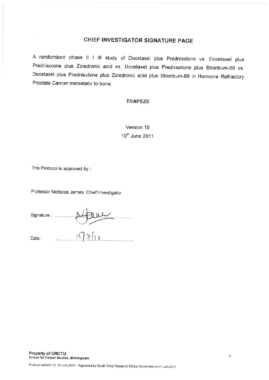# CHIEF INVESTIGATOR SIGNATURE PAGE

A randomised phase II / III study of Docetaxel plus Prednisolone vs. Docetaxel plus Prednisolone plus Zoledronic acid vs. Docetaxel plus Prednisolone plus Strontium-89 vs. Docetaxel plus Prednisolone plus Zoledronic acid plus Strontium-89 in Hormone Refractory Prostate Cancer metastatic to bone.

# **TRAPEZE**

Version 10 10<sup>th</sup> June 2011

 $\sim$ 

This Protocol is approved by :

Professor Nicholas James, Chief Investigator

| Signature: |               |
|------------|---------------|
| Date:      | $\lambda$<br> |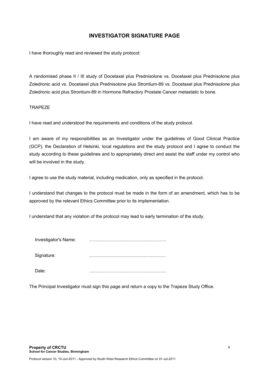# **INVESTIGATOR SIGNATURE PAGE**

I have thoroughly read and reviewed the study protocol:

A randomised phase II / III study of Docetaxel plus Prednisolone vs. Docetaxel plus Prednisolone plus Zoledronic acid vs. Docetaxel plus Prednisolone plus Strontium-89 vs. Docetaxel plus Prednisolone plus Zoledronic acid plus Strontium-89 in Hormone Refractory Prostate Cancer metastatic to bone.

## TRAPEZE

I have read and understood the requirements and conditions of the study protocol.

I am aware of my responsibilities as an Investigator under the guidelines of Good Clinical Practice (GCP), the Declaration of Helsinki, local regulations and the study protocol and I agree to conduct the study according to these guidelines and to appropriately direct and assist the staff under my control who will be involved in the study.

I agree to use the study material, including medication, only as specified in the protocol.

I understand that changes to the protocol must be made in the form of an amendment, which has to be approved by the relevant Ethics Committee prior to its implementation.

I understand that any violation of the protocol may lead to early termination of the study.

| Investigator's Name: |  |
|----------------------|--|
|                      |  |

Signature: ……………………………………………

Date: ……………………………………………

The Principal Investigator must sign this page and return a copy to the Trapeze Study Office.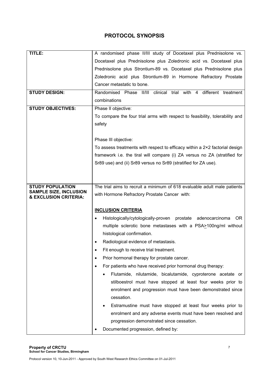# **PROTOCOL SYNOPSIS**

| TITLE:                                                 | A randomised phase II/III study of Docetaxel plus Prednisolone vs.           |
|--------------------------------------------------------|------------------------------------------------------------------------------|
|                                                        | Docetaxel plus Prednisolone plus Zoledronic acid vs. Docetaxel plus          |
|                                                        | Prednisolone plus Strontium-89 vs. Docetaxel plus Prednisolone plus          |
|                                                        | Zoledronic acid plus Strontium-89 in Hormone Refractory Prostate             |
|                                                        | Cancer metastatic to bone.                                                   |
| <b>STUDY DESIGN:</b>                                   | Randomised Phase II/III clinical trial with 4 different treatment            |
|                                                        | combinations                                                                 |
| <b>STUDY OBJECTIVES:</b>                               | Phase II objective:                                                          |
|                                                        | To compare the four trial arms with respect to feasibility, tolerability and |
|                                                        | safety                                                                       |
|                                                        |                                                                              |
|                                                        | Phase III objective:                                                         |
|                                                        | To assess treatments with respect to efficacy within a 2×2 factorial design  |
|                                                        | framework i.e. the tiral will compare (i) ZA versus no ZA (stratified for    |
|                                                        | Sr89 use) and (ii) Sr89 versus no Sr89 (stratified for ZA use).              |
|                                                        |                                                                              |
|                                                        |                                                                              |
| <b>STUDY POPULATION</b>                                | The trial aims to recruit a minimum of 618 evaluable adult male patients     |
| <b>SAMPLE SIZE, INCLUSION</b><br>& EXCLUSION CRITERIA: | with Hormone Refractory Prostate Cancer with:                                |
|                                                        |                                                                              |
|                                                        | <b>INCLUSION CRITERIA</b>                                                    |
|                                                        | Histologically/cytologically-proven prostate adenocarcinoma<br>OR.           |
|                                                        | multiple sclerotic bone metastases with a PSA>100ng/ml without               |
|                                                        | histological confirmation.                                                   |
|                                                        |                                                                              |
|                                                        | Radiological evidence of metastasis.<br>٠                                    |
|                                                        | Fit enough to receive trial treatment.                                       |
|                                                        | Prior hormonal therapy for prostate cancer.<br>٠                             |
|                                                        | For patients who have received prior hormonal drug therapy:<br>٠             |
|                                                        | Flutamide, nilutamide, bicalutamide, cyproterone acetate or                  |
|                                                        | stilboestrol must have stopped at least four weeks prior to                  |
|                                                        | enrolment and progression must have been demonstrated since                  |
|                                                        | cessation.                                                                   |
|                                                        | Estramustine must have stopped at least four weeks prior to<br>$\bullet$     |
|                                                        | enrolment and any adverse events must have been resolved and                 |
|                                                        | progression demonstrated since cessation.                                    |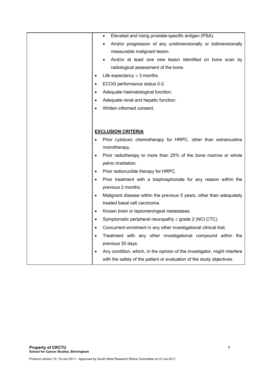|           | Elevated and rising prostate-specific antigen (PSA).<br>$\bullet$         |
|-----------|---------------------------------------------------------------------------|
|           | And/or progression of any unidimensionally or bidimensionally             |
|           | measurable malignant lesion.                                              |
|           | And/or at least one new lesion identified on bone scan by                 |
|           | radiological assessment of the bone.                                      |
|           | Life expectancy $\geq$ 3 months.                                          |
|           | ECOG performance status 0-2.                                              |
|           | Adequate haematological function.                                         |
|           | Adequate renal and hepatic function.                                      |
|           | Written informed consent.                                                 |
|           |                                                                           |
|           |                                                                           |
|           | <b>EXCLUSION CRITERIA</b>                                                 |
|           | Prior cytotoxic chemotherapy for HRPC, other than estramustine            |
|           | monotherapy.                                                              |
|           | Prior radiotherapy to more than 25% of the bone marrow or whole           |
|           | pelvic irradiation.                                                       |
|           | Prior radionuclide therapy for HRPC.                                      |
|           | Prior treatment with a bisphosphonate for any reason within the           |
|           | previous 2 months.                                                        |
|           | Malignant disease within the previous 5 years, other than adequately      |
|           | treated basal cell carcinoma.                                             |
|           | Known brain or leptomeningeal metastases.                                 |
| $\bullet$ | Symptomatic peripheral neuropathy $\geq$ grade 2 (NCI CTC).               |
|           | Concurrent enrolment in any other investigational clinical trial.         |
|           | Treatment with any other investigational compound within the              |
|           | previous 30 days.                                                         |
|           | Any condition, which, in the opinion of the investigator, might interfere |
|           | with the safety of the patient or evaluation of the study objectives.     |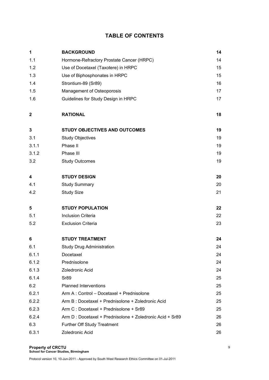# **TABLE OF CONTENTS**

| 1                       | <b>BACKGROUND</b>                                        | 14 |
|-------------------------|----------------------------------------------------------|----|
| 1.1                     | Hormone-Refractory Prostate Cancer (HRPC)                | 14 |
| 1.2                     | Use of Docetaxel (Taxotere) in HRPC                      | 15 |
| 1.3                     | Use of Biphosphonates in HRPC                            | 15 |
| 1.4                     | Strontium-89 (Sr89)                                      | 16 |
| 1.5                     | Management of Osteoporosis                               | 17 |
| 1.6                     | Guidelines for Study Design in HRPC                      | 17 |
| $\boldsymbol{2}$        | <b>RATIONAL</b>                                          | 18 |
| 3                       | <b>STUDY OBJECTIVES AND OUTCOMES</b>                     | 19 |
| 3.1                     | <b>Study Objectives</b>                                  | 19 |
| 3.1.1                   | Phase II                                                 | 19 |
| 3.1.2                   | Phase III                                                | 19 |
| 3.2                     | <b>Study Outcomes</b>                                    | 19 |
| $\overline{\mathbf{4}}$ | <b>STUDY DESIGN</b>                                      | 20 |
| 4.1                     | <b>Study Summary</b>                                     | 20 |
| 4.2                     | <b>Study Size</b>                                        | 21 |
| 5                       | <b>STUDY POPULATION</b>                                  | 22 |
| 5.1                     | <b>Inclusion Criteria</b>                                | 22 |
| 5.2                     | <b>Exclusion Criteria</b>                                | 23 |
| 6                       | <b>STUDY TREATMENT</b>                                   | 24 |
| 6.1                     | <b>Study Drug Administration</b>                         | 24 |
| 6.1.1                   | Docetaxel                                                | 24 |
| 6.1.2                   | Prednisolone                                             | 24 |
| 6.1.3                   | Zoledronic Acid                                          | 24 |
| 6.1.4                   | Sr89                                                     | 25 |
| 6.2                     | <b>Planned Interventions</b>                             | 25 |
| 6.2.1                   | Arm A: Control - Docetaxel + Prednisolone                | 25 |
| 6.2.2                   | Arm B: Docetaxel + Prednisolone + Zoledronic Acid        | 25 |
| 6.2.3                   | Arm C: Docetaxel + Prednisolone + Sr89                   | 25 |
| 6.2.4                   | Arm D: Docetaxel + Prednisolone + Zoledronic Acid + Sr89 | 26 |
| 6.3                     | <b>Further Off Study Treatment</b>                       | 26 |
| 6.3.1                   | Zoledronic Acid                                          | 26 |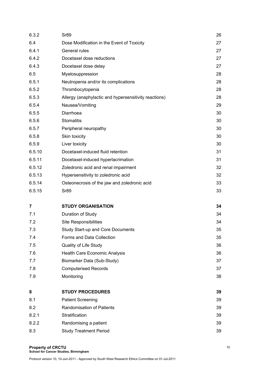| 6.3.2  | Sr89                                                  | 26 |
|--------|-------------------------------------------------------|----|
| 6.4    | Dose Modification in the Event of Toxicity            | 27 |
| 6.4.1  | General rules                                         | 27 |
| 6.4.2  | Docetaxel dose reductions                             | 27 |
| 6.4.3  | Docetaxel dose delay                                  | 27 |
| 6.5    | Myelosuppression                                      | 28 |
| 6.5.1  | Neutropenia and/or its complications                  | 28 |
| 6.5.2  | Thrombocytopenia                                      | 28 |
| 6.5.3  | Allergy (anaphylactic and hypersensitivity reactions) | 28 |
| 6.5.4  | Nausea/Vomiting                                       | 29 |
| 6.5.5  | Diarrhoea                                             | 30 |
| 6.5.6  | <b>Stomatitis</b>                                     | 30 |
| 6.5.7  | Peripheral neuropathy                                 | 30 |
| 6.5.8  | Skin toxicity                                         | 30 |
| 6.5.9  | Liver toxicity                                        | 30 |
| 6.5.10 | Docetaxel-induced fluid retention                     | 31 |
| 6.5.11 | Docetaxel-induced hyperlacrimation                    | 31 |
| 6.5.12 | Zoledronic acid and renal impairment                  | 32 |
| 6.5.13 | Hypersensitivity to zoledronic acid                   | 32 |
| 6.5.14 | Osteonecrosis of the jaw and zoledronic acid          | 33 |
| 6.5.15 | Sr89                                                  | 33 |
|        |                                                       |    |
| 7      | <b>STUDY ORGANISATION</b>                             | 34 |
| 7.1    | Duration of Study                                     | 34 |
| 7.2    | <b>Site Responsibilities</b>                          | 34 |
| 7.3    | <b>Study Start-up and Core Documents</b>              | 35 |
| 7.4    | Forms and Data Collection                             | 35 |
| 7.5    | Quality of Life Study                                 | 36 |
| 7.6    | <b>Health Care Economic Analysis</b>                  | 36 |
| 7.7    | Biomarker Data (Sub-Study)                            | 37 |
| 7.8    | <b>Computerised Records</b>                           | 37 |
| 7.9    | Monitoring                                            | 38 |
|        |                                                       |    |
| 8      | <b>STUDY PROCEDURES</b>                               | 39 |
| 8.1    | <b>Patient Screening</b>                              | 39 |
| 8.2    | <b>Randomisation of Patients</b>                      | 39 |
| 8.2.1  | Stratification                                        | 39 |
| 8.2.2  | Randomising a patient                                 | 39 |
| 8.3    | <b>Study Treatment Period</b>                         | 39 |
|        |                                                       |    |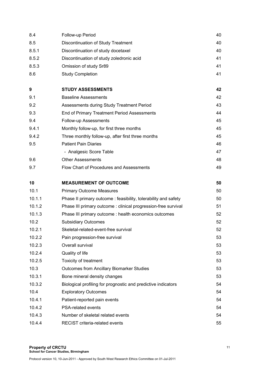| 8.4    | Follow-up Period                                               | 40 |
|--------|----------------------------------------------------------------|----|
| 8.5    | Discontinuation of Study Treatment                             | 40 |
| 8.5.1  | Discontinuation of study docetaxel                             | 40 |
| 8.5.2  | Discontinuation of study zoledronic acid                       | 41 |
| 8.5.3  | Omission of study Sr89                                         | 41 |
| 8.6    | <b>Study Completion</b>                                        | 41 |
| 9      | <b>STUDY ASSESSMENTS</b>                                       | 42 |
| 9.1    | <b>Baseline Assessments</b>                                    | 42 |
| 9.2    | Assessments during Study Treatment Period                      | 43 |
| 9.3    | End of Primary Treatment Period Assessments                    | 44 |
| 9.4    | <b>Follow-up Assessments</b>                                   | 45 |
| 9.4.1  | Monthly follow-up, for first three months                      | 45 |
| 9.4.2  | Three monthly follow-up, after first three months              | 45 |
| 9.5    | <b>Patient Pain Diaries</b>                                    | 46 |
|        | - Analgesic Score Table                                        | 47 |
| 9.6    | <b>Other Assessments</b>                                       | 48 |
| 9.7    | Flow Chart of Procedures and Assessments                       | 49 |
|        |                                                                |    |
| 10     | <b>MEASUREMENT OF OUTCOME</b>                                  | 50 |
| 10.1   | <b>Primary Outcome Measures</b>                                | 50 |
| 10.1.1 | Phase II primary outcome: feasibility, tolerability and safety | 50 |
| 10.1.2 | Phase III primary outcome : clinical progression-free survival | 51 |
| 10.1.3 | Phase III primary outcome : health economics outcomes          | 52 |
| 10.2   | <b>Subsidiary Outcomes</b>                                     | 52 |
| 10.2.1 | Skeletal-related-event-free survival                           | 52 |
| 10.2.2 | Pain progression-free survival                                 | 53 |
| 10.2.3 | Overall survival                                               | 53 |
| 10.2.4 | Quality of life                                                | 53 |
| 10.2.5 | Toxicity of treatment                                          | 53 |
| 10.3   | <b>Outcomes from Ancillary Biomarker Studies</b>               | 53 |
| 10.3.1 | Bone mineral density changes                                   | 53 |
| 10.3.2 | Biological profiling for prognostic and predictive indicators  | 54 |
| 10.4   | <b>Exploratory Outcomes</b>                                    | 54 |
| 10.4.1 | Patient-reported pain events                                   | 54 |
| 10.4.2 | PSA-related events                                             | 54 |
| 10.4.3 | Number of skeletal related events                              | 54 |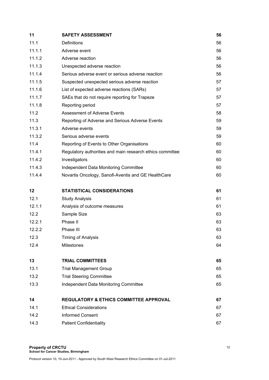| 11     | <b>SAFETY ASSESSMENT</b>                                  | 56 |
|--------|-----------------------------------------------------------|----|
| 11.1   | <b>Definitions</b>                                        | 56 |
| 11.1.1 | Adverse event                                             | 56 |
| 11.1.2 | Adverse reaction                                          | 56 |
| 11.1.3 | Unexpected adverse reaction                               | 56 |
| 11.1.4 | Serious adverse event or serious adverse reaction         | 56 |
| 11.1.5 | Suspected unexpected serious adverse reaction             | 57 |
| 11.1.6 | List of expected adverse reactions (SARs)                 | 57 |
| 11.1.7 | SAEs that do not require reporting for Trapeze            | 57 |
| 11.1.8 | Reporting period                                          | 57 |
| 11.2   | <b>Assessment of Adverse Events</b>                       | 58 |
| 11.3   | Reporting of Adverse and Serious Adverse Events           | 59 |
| 11.3.1 | Adverse events                                            | 59 |
| 11.3.2 | Serious adverse events                                    | 59 |
| 11.4   | Reporting of Events to Other Organisations                | 60 |
| 11.4.1 | Regulatory authorities and main research ethics committee | 60 |
| 11.4.2 | Investigators                                             | 60 |
| 11.4.3 | Independent Data Monitoring Committee                     | 60 |
| 11.4.4 | Novartis Oncology, Sanofi-Aventis and GE HealthCare       | 60 |
| 12     | <b>STATISTICAL CONSIDERATIONS</b>                         | 61 |
| 12.1   | <b>Study Analysis</b>                                     | 61 |
| 12.1.1 | Analysis of outcome measures                              | 61 |
| 12.2   | Sample Size                                               | 63 |
| 12.2.1 | Phase II                                                  | 63 |
| 12.2.2 | Phase III                                                 | 63 |
| 12.3   | <b>Timing of Analysis</b>                                 | 63 |
| 12.4   | Milestones                                                | 64 |
| 13     | <b>TRIAL COMMITTEES</b>                                   | 65 |
| 13.1   | <b>Trial Management Group</b>                             | 65 |
| 13.2   | <b>Trial Steering Committee</b>                           | 65 |
| 13.3   | Independent Data Monitoring Committee                     | 65 |
| 14     | <b>REGULATORY &amp; ETHICS COMMITTEE APPROVAL</b>         | 67 |
| 14.1   | <b>Ethical Considerations</b>                             | 67 |
| 14.2   | <b>Informed Consent</b>                                   | 67 |
| 14.3   | <b>Patient Confidentiality</b>                            | 67 |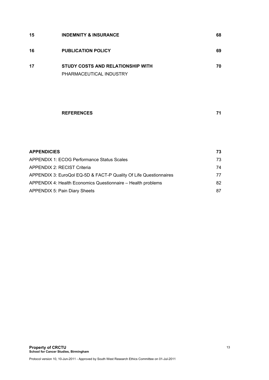| 15 | <b>INDEMNITY &amp; INSURANCE</b>  | 68 |
|----|-----------------------------------|----|
| 16 | <b>PUBLICATION POLICY</b>         | 69 |
| 17 | STUDY COSTS AND RELATIONSHIP WITH | 70 |
|    | PHARMACEUTICAL INDUSTRY           |    |

# **REFERENCES 71**

| <b>APPENDICIES</b>                                                | 73 |
|-------------------------------------------------------------------|----|
| <b>APPENDIX 1: ECOG Performance Status Scales</b>                 | 73 |
| <b>APPENDIX 2: RECIST Criteria</b>                                | 74 |
| APPENDIX 3: EuroQol EQ-5D & FACT-P Quality Of Life Questionnaires | 77 |
| APPENDIX 4: Health Economics Questionnaire - Health problems      | 82 |
| <b>APPENDIX 5: Pain Diary Sheets</b>                              | 87 |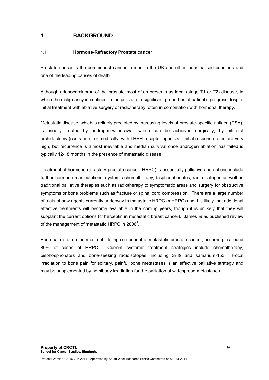# **1 BACKGROUND**

#### **1.1 Hormone-Refractory Prostate cancer**

Prostate cancer is the commonest cancer in men in the UK and other industrialised countries and one of the leading causes of death.

Although adenocarcinoma of the prostate most often presents as local (stage T1 or T2) disease, in which the malignancy is confined to the prostate, a significant proportion of patient's progress despite initial treatment with ablative surgery or radiotherapy, often in combination with hormonal therapy.

Metastatic disease, which is reliably predicted by increasing levels of prostate-specific antigen (PSA), is usually treated by androgen-withdrawal, which can be achieved surgically, by bilateral orchidectomy (castration), or medically, with LHRH-receptor agonists. Initial response rates are very high, but recurrence is almost inevitable and median survival once androgen ablation has failed is typically 12-18 months in the presence of metastatic disease.

Treatment of hormone-refractory prostate cancer (HRPC) is essentially palliative and options include further hormone manipulations, systemic chemotherapy, bisphosphonates, radio-isotopes as well as traditional palliative therapies such as radiotherapy to symptomatic areas and surgery for obstructive symptoms or bone problems such as fracture or spinal cord compression. There are a large number of trials of new agents currently underway in metastatic HRPC (mHRPC) and it is likely that additional effective treatments will become available in the coming years, though it is unlikely that they will supplant the current options (cf herceptin in metastatic breast cancer). James *et al.* published review of the management of metastatic HRPC in 2006<sup>1</sup>.

Bone pain is often the most debilitating component of metastatic prostate cancer, occurring in around 80% of cases of HRPC. Current systemic treatment strategies include chemotherapy, bisphosphonates and bone-seeking radioisotopes, including Sr89 and samarium-153. Focal irradiation to bone pain for solitary, painful bone metastases is an effective palliative strategy and may be supplemented by hemibody irradiation for the palliation of widespread metastases.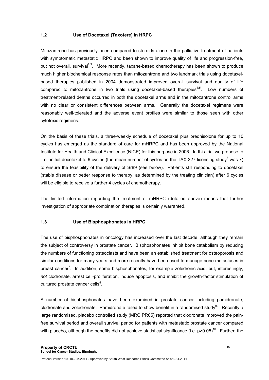## **1.2 Use of Docetaxel (Taxotere) In HRPC**

Mitozantrone has previously been compared to steroids alone in the palliative treatment of patients with symptomatic metastatic HRPC and been shown to improve quality of life and progression-free, but not overall, survival<sup>2;3</sup>. More recently, taxane-based chemotherapy has been shown to produce much higher biochemical response rates than mitozantrone and two landmark trials using docetaxelbased therapies published in 2004 demonstrated improved overall survival and quality of life compared to mitozantrone in two trials using docetaxel-based therapies<sup>4;5</sup>. Low numbers of treatment-related deaths occurred in both the docetaxel arms and in the mitozantrone control arms with no clear or consistent differences between arms. Generally the docetaxel regimens were reasonably well-tolerated and the adverse event profiles were similar to those seen with other cytotoxic regimens.

On the basis of these trials, a three-weekly schedule of docetaxel plus prednisolone for up to 10 cycles has emerged as the standard of care for mHRPC and has been approved by the National Institute for Health and Clinical Excellence (NICE) for this purpose in 2006. In this trial we propose to limit initial docetaxel to 6 cycles (the mean number of cycles on the TAX 327 licensing study<sup>6</sup> was 7) to ensure the feasibility of the delivery of Sr89 (see below). Patients still responding to docetaxel (stable disease or better response to therapy, as determined by the treating clinician) after 6 cycles will be eligible to receive a further 4 cycles of chemotherapy.

The limited information regarding the treatment of mHRPC (detailed above) means that further investigation of appropriate combination therapies is certainly warranted.

#### **1.3 Use of Bisphosphonates in HRPC**

The use of bisphosphonates in oncology has increased over the last decade, although they remain the subject of controversy in prostate cancer. Bisphosphonates inhibit bone catabolism by reducing the numbers of functioning osteoclasts and have been an established treatment for osteoporosis and similar conditions for many years and more recently have been used to manage bone metastases in breast cancer<sup>7</sup>. In addition, some bisphosphonates, for example zoledronic acid, but, interestingly, *not* clodronate, arrest cell-proliferation, induce apoptosis, and inhibit the growth-factor stimulation of cultured prostate cancer cells<sup>8</sup>.

A number of bisphosphonates have been examined in prostate cancer including pamidronate, clodronate and zoledronate. Pamidronate failed to show benefit in a randomised study<sup>9,</sup> Recently a large randomised, placebo controlled study (MRC PR05) reported that clodronate improved the painfree survival period and overall survival period for patients with metastatic prostate cancer compared with placebo, although the benefits did not achieve statistical significance (i.e. p>0.05)<sup>10</sup>. Further, the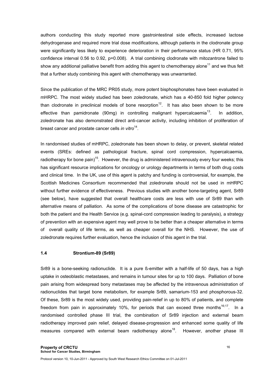authors conducting this study reported more gastrointestinal side effects, increased lactose dehydrogenase and required more trial dose modifications, although patients in the clodronate group were significantly less likely to experience deterioration in their performance status (HR 0.71, 95% confidence interval 0.56 to 0.92, p=0.008). A trial combining clodronate with mitozantrone failed to show any additional palliative benefit from adding this agent to chemotherapy alone<sup>11</sup> and we thus felt that a further study combining this agent with chemotherapy was unwarranted.

Since the publication of the MRC PR05 study, more potent bisphosphonates have been evaluated in mHRPC. The most widely studied has been zoledronate, which has a 40-850 fold higher potency than clodronate in preclinical models of bone resorption<sup>12</sup>. It has also been shown to be more effective than pamidronate (90mg) in controlling malignant hypercalcaemia<sup>13</sup>. In addition, zoledronate has also demonstrated direct anti-cancer activity, including inhibition of proliferation of breast cancer and prostate cancer cells *in vitro*14.

In randomised studies of mHRPC, zoledronate has been shown to delay, or prevent, skeletal related events (SREs: defined as pathological fracture, spinal cord compression, hypercalcaemia, radiotherapy for bone pain)<sup>15</sup>. However, the drug is administered intravenously every four weeks; this has significant resource implications for oncology or urology departments in terms of both drug costs and clinical time. In the UK, use of this agent is patchy and funding is controversial, for example, the Scottish Medicines Consortium recommended that zoledronate should not be used in mHRPC without further evidence of effectiveness. Previous studies with another bone-targeting agent, Sr89 (see below), have suggested that overall healthcare costs are less with use of Sr89 than with alternative means of palliation. As some of the complications of bone disease are catastrophic for both the patient and the Health Service (e.g. spinal-cord compression leading to paralysis), a strategy of prevention with an expensive agent may well prove to be better than a cheaper alternative in terms of overall quality of life terms, as well as cheaper overall for the NHS. However, the use of zoledronate requires further evaluation, hence the inclusion of this agent in the trial.

#### **1.4 Strontium-89 (Sr89)**

Sr89 is a bone-seeking radionuclide. It is a pure ß-emitter with a half-life of 50 days, has a high uptake in osteoblastic metastases, and remains in tumour sites for up to 100 days. Palliation of bone pain arising from widespread bony metastases may be affected by the intravenous administration of radionuclides that target bone metabolism, for example Sr89, samarium-153 and phosphorous-32. Of these, Sr89 is the most widely used, providing pain-relief in up to 80% of patients, and complete freedom from pain in approximately 10%, for periods that can exceed three months $16;17$ . In a randomised controlled phase III trial, the combination of Sr89 injection and external beam radiotherapy improved pain relief, delayed disease-progression and enhanced some quality of life measures compared with external beam radiotherapy alone<sup>18</sup>. However, another phase III

Protocol version 10, 10-Jun-2011 - Approved by South West Research Ethics Committee on 01-Jul-2011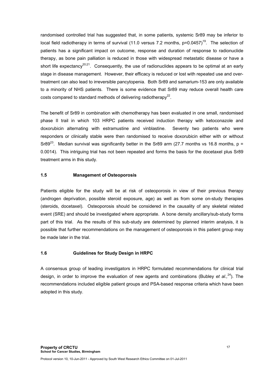randomised controlled trial has suggested that, in some patients, systemic Sr89 may be inferior to local field radiotherapy in terms of survival (11.0 versus 7.2 months,  $p=0.0457$ )<sup>19</sup>. The selection of patients has a significant impact on outcome, response and duration of response to radionuclide therapy, as bone pain palliation is reduced in those with widespread metastatic disease or have a short life expectancy<sup>20;21</sup>. Consequently, the use of radionuclides appears to be optimal at an early stage in disease management. However, their efficacy is reduced or lost with repeated use and overtreatment can also lead to irreversible pancytopenia. Both Sr89 and samarium-153 are only available to a minority of NHS patients. There is some evidence that Sr89 may reduce overall health care costs compared to standard methods of delivering radiotherapy<sup>22</sup>.

The benefit of Sr89 in combination with chemotherapy has been evaluated in one small, randomised phase II trail in which 103 HRPC patients received induction therapy with ketoconazole and doxorubicin alternating with estramustine and vinblastine. Seventy two patients who were responders or clinically stable were then randomised to receive doxorubicin either with or without Sr89<sup>23</sup>. Median survival was significantly better in the Sr89 arm (27.7 months vs 16.8 months, p = 0.0014). This intriguing trial has not been repeated and forms the basis for the docetaxel plus Sr89 treatment arms in this study.

# **1.5 Management of Osteoporosis**

Patients eligible for the study will be at risk of osteoporosis in view of their previous therapy (androgen deprivation, possible steroid exposure, age) as well as from some on-study therapies (steroids, docetaxel). Osteoporosis should be considered in the causality of any skeletal related event (SRE) and should be investigated where appropriate. A bone density ancillary/sub-study forms part of this trial. As the results of this sub-study are determined by planned interim analysis, it is possible that further recommendations on the management of osteoporosis in this patient group may be made later in the trial.

#### **1.6 Guidelines for Study Design in HRPC**

A consensus group of leading investigators in HRPC formulated recommendations for clinical trial design, in order to improve the evaluation of new agents and combinations (Bubley *et al.*<sup>24</sup>). The recommendations included eligible patient groups and PSA-based response criteria which have been adopted in this study.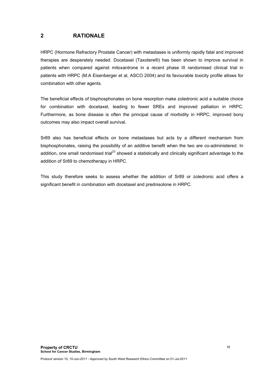# **2 RATIONALE**

HRPC (Hormone Refractory Prostate Cancer) with metastases is uniformly rapidly fatal and improved therapies are desperately needed. Docetaxel (Taxotere®) has been shown to improve survival in patients when compared against mitoxantrone in a recent phase III randomised clinical trial in patients with HRPC (M.A Eisenberger et al, ASCO 2004) and its favourable toxicity profile allows for combination with other agents.

The beneficial effects of bisphosphonates on bone resorption make zoledronic acid a suitable choice for combination with docetaxel, leading to fewer SREs and improved palliation in HRPC. Furthermore, as bone disease is often the principal cause of morbidity in HRPC, improved bony outcomes may also impact overall survival.

Sr89 also has beneficial effects on bone metastases but acts by a different mechanism from bisphosphonates, raising the possibility of an additive benefit when the two are co-administered. In addition, one small randomised trial<sup>23</sup> showed a statistically and clinically significant advantage to the addition of Sr89 to chemotherapy in HRPC.

This study therefore seeks to assess whether the addition of Sr89 or zoledronic acid offers a significant benefit in combination with docetaxel and prednisolone in HRPC.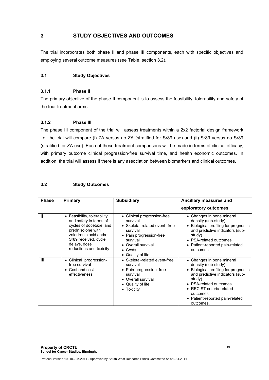# **3 STUDY OBJECTIVES AND OUTCOMES**

The trial incorporates both phase II and phase III components, each with specific objectives and employing several outcome measures (see Table: section 3.2).

#### **3.1 Study Objectives**

#### **3.1.1 Phase II**

The primary objective of the phase II component is to assess the feasibility, tolerability and safety of the four treatment arms.

#### **3.1.2 Phase III**

The phase III component of the trial will assess treatments within a 2x2 factorial design framework i.e. the trial will compare (i) ZA versus no ZA (stratified for Sr89 use) and (ii) Sr89 versus no Sr89 (stratified for ZA use). Each of these treatment comparisons will be made in terms of clinical efficacy, with primary outcome clinical progression-free survival time, and health economic outcomes. In addition, the trial will assess if there is any association between biomarkers and clinical outcomes.

#### **3.2 Study Outcomes**

| <b>Phase</b> | Primary                                                                                                                                                                                            | <b>Subsidiary</b>                                                                                                                                                                                     | Ancillary measures and                                                                                                                                                                                                                                    |
|--------------|----------------------------------------------------------------------------------------------------------------------------------------------------------------------------------------------------|-------------------------------------------------------------------------------------------------------------------------------------------------------------------------------------------------------|-----------------------------------------------------------------------------------------------------------------------------------------------------------------------------------------------------------------------------------------------------------|
|              |                                                                                                                                                                                                    |                                                                                                                                                                                                       | exploratory outcomes                                                                                                                                                                                                                                      |
| $\mathbf{I}$ | • Feasibility, tolerability<br>and safety in terms of<br>cycles of docetaxel and<br>prednisolone with<br>zoledronic acid and/or<br>Sr89 received, cycle<br>delays, dose<br>reductions and toxicity | • Clinical progression-free<br>survival<br>• Skeletal-related event- free<br>survival<br>• Pain progression-free<br>survival<br>• Overall survival<br>$\bullet$ Costs<br>Quality of life<br>$\bullet$ | • Changes in bone mineral<br>density (sub-study)<br>• Biological profiling for prognostic<br>and predictive indicators (sub-<br>study)<br>• PSA-related outcomes<br>• Patient-reported pain-related<br>outcomes                                           |
| Ш            | • Clinical progression-<br>free survival<br>• Cost and cost-<br>effectiveness                                                                                                                      | • Skeletal-related event-free<br>survival<br>• Pain-progression-free<br>survival<br>Overall survival<br>$\bullet$<br>Quality of life<br>$\bullet$<br>• Toxicity                                       | • Changes in bone mineral<br>density (sub-study)<br>• Biological profiling for prognostic<br>and predictive indicators (sub-<br>study)<br>• PSA-related outcomes<br>• RECIST criteria-related<br>outcomes<br>• Patient-reported pain-related<br>outcomes. |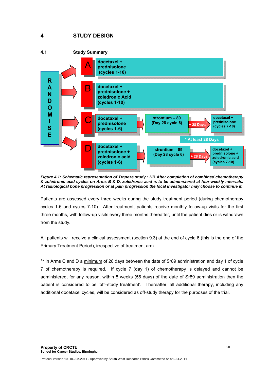#### **4 STUDY DESIGN**



*Figure 4.1: Schematic representation of Trapeze study : NB After completion of combined chemotherapy & zoledronic acid cycles on Arms B & D, zoledronic acid is to be administered at four-weekly intervals. At radiological bone progression or at pain progression the local investigator may choose to continue it.* 

Patients are assessed every three weeks during the study treatment period (during chemotherapy cycles 1-6 and cycles 7-10). After treatment, patients receive monthly follow-up visits for the first three months, with follow-up visits every three months thereafter, until the patient dies or is withdrawn from the study.

All patients will receive a clinical assessment (section 9.3) at the end of cycle 6 (this is the end of the Primary Treatment Period), irrespective of treatment arm.

\*\* In Arms C and D a minimum of 28 days between the date of Sr89 administration and day 1 of cycle 7 of chemotherapy is required. If cycle 7 (day 1) of chemotherapy is delayed and cannot be administered, for any reason, within 8 weeks (56 days) of the date of Sr89 administration then the patient is considered to be 'off–study treatment'. Thereafter, all additional therapy, including any additional docetaxel cycles, will be considered as off-study therapy for the purposes of the trial.

20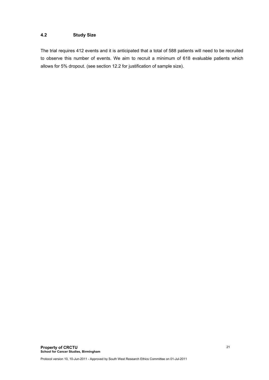# **4.2 Study Size**

The trial requires 412 events and it is anticipated that a total of 588 patients will need to be recruited to observe this number of events. We aim to recruit a minimum of 618 evaluable patients which allows for 5% dropout. (see section 12.2 for justification of sample size).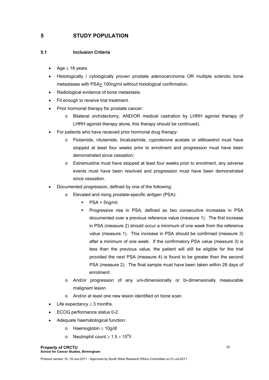# **5 STUDY POPULATION**

# **5.1 Inclusion Criteria**

- Age  $\geq$  18 years
- Histologically / cytologically proven prostate adenocarcinoma OR multiple sclerotic bone metastases with PSA> 100ng/ml without histological confirmation.
- Radiological evidence of bone metastasis.
- Fit enough to receive trial treatment.
- Prior hormonal therapy for prostate cancer:
	- o Bilateral orchidectomy, AND/OR medical castration by LHRH agonist therapy (if LHRH agonist therapy alone, this therapy should be continued).
- For patients who have received prior hormonal drug therapy:
	- o Flutamide, nilutamide, bicalutamide, cyproterone acetate or stilboestrol must have stopped at least four weeks prior to enrolment and progression must have been demonstrated since cessation;
	- o Estramustine must have stopped at least four weeks prior to enrolment, any adverse events must have been resolved and progression must have been demonstrated since cessation.
- Documented progression, defined by one of the following:
	- o Elevated and rising prostate-specific antigen (PSA):
		- $PSA > 5$ ng/ml;
		- Progressive rise in PSA, defined as two consecutive increases in PSA documented over a previous reference value (measure 1). The first increase in PSA (measure 2) should occur a minimum of one week from the reference value (measure 1). This increase in PSA should be confirmed (measure 3) after a minimum of one week. If the confirmatory PSA value (measure 3) is less than the previous value, the patient will still be eligible for the trial provided the next PSA (measure 4) is found to be greater than the second PSA (measure 2). The final sample must have been taken within 28 days of enrolment.
	- o And/or progression of any uni-dimensionally or bi-dimensionally measurable malignant lesion
	- o And/or at least one new lesion identified on bone scan.
- Life expectancy  $\geq$  3 months.
- ECOG performance status 0-2.
- Adequate haematological function:
	- o Haemoglobin ≥ 10g/dl
	- o Neutrophil count  $\geq 1.5 \times 10^9$ /l

**Property of CRCTU School for Cancer Studies, Birmingham**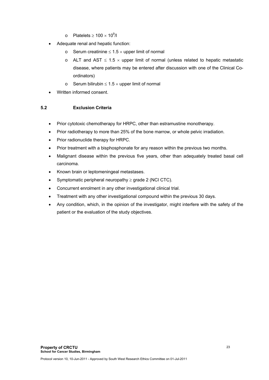- o Platelets ≥ 100 × 10<sup>9</sup>/l
- Adequate renal and hepatic function:
	- o Serum creatinine  $\leq 1.5 \times$  upper limit of normal
	- o ALT and AST ≤ 1.5  $\times$  upper limit of normal (unless related to hepatic metastatic disease, where patients may be entered after discussion with one of the Clinical Coordinators)
	- o Serum bilirubin  $≤ 1.5 \times upper$  limit of normal
- Written informed consent.

# **5.2 Exclusion Criteria**

- Prior cytotoxic chemotherapy for HRPC, other than estramustine monotherapy.
- Prior radiotherapy to more than 25% of the bone marrow, or whole pelvic irradiation.
- Prior radionuclide therapy for HRPC.
- Prior treatment with a bisphosphonate for any reason within the previous two months.
- Malignant disease within the previous five years, other than adequately treated basal cell carcinoma.
- Known brain or leptomeningeal metastases.
- Symptomatic peripheral neuropathy  $\geq$  grade 2 (NCI CTC).
- Concurrent enrolment in any other investigational clinical trial.
- Treatment with any other investigational compound within the previous 30 days.
- Any condition, which, in the opinion of the investigator, might interfere with the safety of the patient or the evaluation of the study objectives.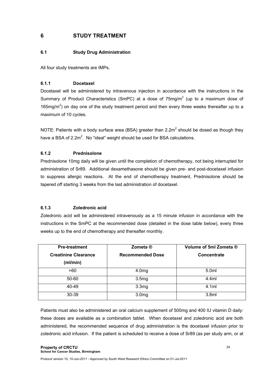# **6 STUDY TREATMENT**

#### **6.1 Study Drug Administration**

All four study treatments are IMPs.

# **6.1.1 Docetaxel**

Docetaxel will be administered by intravenous injection in accordance with the instructions in the Summary of Product Characteristics (SmPC) at a dose of  $75$ mg/m<sup>2</sup> (up to a maximum dose of 165mg/ $m^2$ ) on day one of the study treatment period and then every three weeks thereafter up to a maximum of 10 cycles.

NOTE: Patients with a body surface area (BSA) greater than 2.2m<sup>2</sup> should be dosed as though they have a BSA of 2.2 $m^2$ . No "ideal" weight should be used for BSA calculations.

# **6.1.2 Prednisolone**

Prednisolone 10mg daily will be given until the completion of chemotherapy, not being interrupted for administration of Sr89. Additional dexamethasone should be given pre- and post-docetaxel infusion to suppress allergic reactions. At the end of chemotherapy treatment, Prednisolone should be tapered off starting 3 weeks from the last administration of docetaxel.

#### **6.1.3 Zoledronic acid**

Zoledronic acid will be administered intravenously as a 15 minute infusion in accordance with the instructions in the SmPC at the recommended dose (detailed in the dose table below), every three weeks up to the end of chemotherapy and thereafter monthly.

| <b>Pre-treatment</b>        | Zometa ®                | Volume of 5ml Zometa ® |
|-----------------------------|-------------------------|------------------------|
| <b>Creatinine Clearance</b> | <b>Recommended Dose</b> | <b>Concentrate</b>     |
| (ml/min)                    |                         |                        |
| >60                         | 4.0 <sub>mg</sub>       | 5.0ml                  |
| 50-60                       | 3.5 <sub>mg</sub>       | 4.4ml                  |
| 40-49                       | 3.3 <sub>mg</sub>       | 4.1ml                  |
| 30-39                       | 3.0 <sub>mg</sub>       | 3.8ml                  |

Patients must also be administered an oral calcium supplement of 500mg and 400 IU vitamin D daily: these doses are available as a combination tablet. When docetaxel and zoledronic acid are both administered, the recommended sequence of drug administration is the docetaxel infusion prior to zoledronic acid infusion. If the patient is scheduled to receive a dose of Sr89 (as per study arm, or at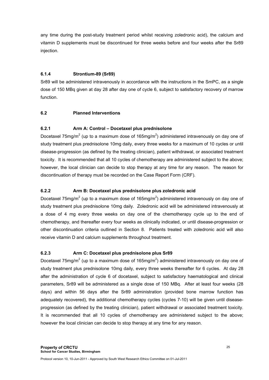any time during the post-study treatment period whilst receiving zoledronic acid), the calcium and vitamin D supplements must be discontinued for three weeks before and four weeks after the Sr89 injection.

#### **6.1.4 Strontium-89 (Sr89)**

Sr89 will be administered intravenously in accordance with the instructions in the SmPC, as a single dose of 150 MBq given at day 28 after day one of cycle 6, subject to satisfactory recovery of marrow function.

#### **6.2 Planned Interventions**

#### **6.2.1 Arm A: Control – Docetaxel plus prednisolone**

Docetaxel 75mg/m<sup>2</sup> (up to a maximum dose of 165mg/m<sup>2</sup>) administered intravenously on day one of study treatment plus prednisolone 10mg daily, every three weeks for a maximum of 10 cycles or until disease-progression (as defined by the treating clinician), patient withdrawal, or associated treatment toxicity. It is recommended that all 10 cycles of chemotherapy are administered subject to the above; however, the local clinician can decide to stop therapy at any time for any reason. The reason for discontinuation of therapy must be recorded on the Case Report Form (CRF).

#### **6.2.2 Arm B: Docetaxel plus prednisolone plus zoledronic acid**

Docetaxel 75mg/m<sup>2</sup> (up to a maximum dose of 165mg/m<sup>2</sup>) administered intravenously on day one of study treatment plus prednisolone 10mg daily. Zoledronic acid will be administered intravenously at a dose of 4 mg every three weeks on day one of the chemotherapy cycle up to the end of chemotherapy, and thereafter every four weeks as clinically indicated, or until disease-progression or other discontinuation criteria outlined in Section 8. Patients treated with zoledronic acid will also receive vitamin D and calcium supplements throughout treatment.

#### **6.2.3 Arm C: Docetaxel plus prednisolone plus Sr89**

Docetaxel 75mg/m<sup>2</sup> (up to a maximum dose of 165mg/m<sup>2</sup>) administered intravenously on day one of study treatment plus prednisolone 10mg daily, every three weeks thereafter for 6 cycles. At day 28 after the administration of cycle 6 of docetaxel, subject to satisfactory haematological and clinical parameters, Sr89 will be administered as a single dose of 150 MBq. After at least four weeks (28 days) and within 56 days after the Sr89 administration (provided bone marrow function has adequately recovered), the additional chemotherapy cycles (cycles 7-10) will be given until diseaseprogression (as defined by the treating clinician), patient withdrawal or associated treatment toxicity. It is recommended that all 10 cycles of chemotherapy are administered subject to the above; however the local clinician can decide to stop therapy at any time for any reason.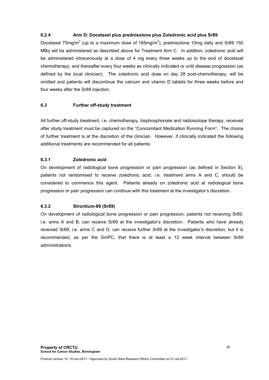# **6.2.4 Arm D: Docetaxel plus prednisolone plus Zoledronic acid plus Sr89**

Docetaxel 75mg/m<sup>2</sup> (up to a maximum dose of 165mg/m<sup>2</sup>), prednisolone 10mg daily and Sr89 150 MBq will be administered as described above for Treatment Arm C. In addition, zoledronic acid will be administered intravenously at a dose of 4 mg every three weeks up to the end of docetaxel chemotherapy, and thereafter every four weeks as clinically indicated or until disease progression (as defined by the local clinician). The zoledronic acid dose on day 28 post-chemotherapy, will be omitted and patients will discontinue the calcium and vitamin D tablets for three weeks before and four weeks after the Sr89 injection.

#### **6.3 Further off-study treatment**

All further off-study treatment, i.e. chemotherapy, bisphosphonate and radioisotope therapy, received after study treatment must be captured on the "Concomitant Medication Running Form". The choice of further treatment is at the discretion of the clinician. However, if clinically indicated the following additional treatments are recommended for all patients:

#### **6.3.1 Zoledronic acid**

On development of radiological bone progression or pain progression (as defined in Section 8), patients not randomised to receive zoledronic acid, i.e. treatment arms A and C, should be considered to commence this agent. Patients already on zoledronic acid at radiological bone progression or pain progression can continue with this treatment at the investigator's discretion.

#### **6.3.2 Strontium-89 (Sr89)**

On development of radiological bone progression or pain progression, patients not receiving Sr89, i.e. arms A and B, can receive Sr89 at the investigator's discretion. Patients who have already received Sr89, i.e. arms C and D, can receive further Sr89 at the investigator's discretion, but it is recommended, as per the SmPC, that there is at least a 12 week interval between Sr89 administrations.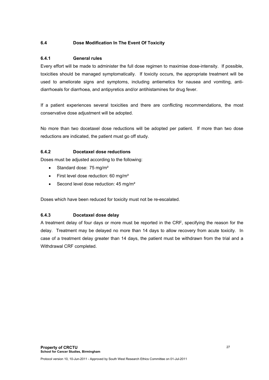# **6.4 Dose Modification In The Event Of Toxicity**

#### **6.4.1 General rules**

Every effort will be made to administer the full dose regimen to maximise dose-intensity. If possible, toxicities should be managed symptomatically. If toxicity occurs, the appropriate treatment will be used to ameliorate signs and symptoms, including antiemetics for nausea and vomiting, antidiarrhoeals for diarrhoea, and antipyretics and/or antihistamines for drug fever.

If a patient experiences several toxicities and there are conflicting recommendations, the most conservative dose adjustment will be adopted.

No more than two docetaxel dose reductions will be adopted per patient. If more than two dose reductions are indicated, the patient must go off study.

# **6.4.2 Docetaxel dose reductions**

Doses must be adjusted according to the following:

- Standard dose: 75 mg/m<sup>2</sup>
- First level dose reduction: 60 mg/m<sup>2</sup>
- Second level dose reduction: 45 mg/m<sup>2</sup>

Doses which have been reduced for toxicity must not be re-escalated.

#### **6.4.3 Docetaxel dose delay**

A treatment delay of four days or more must be reported in the CRF, specifying the reason for the delay. Treatment may be delayed no more than 14 days to allow recovery from acute toxicity. In case of a treatment delay greater than 14 days, the patient must be withdrawn from the trial and a Withdrawal CRF completed.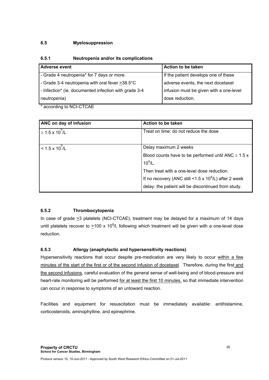# **6.5 Myelosuppression**

# **6.5.1 Neutropenia and/or its complications**

| <b>Adverse event</b>                                      | Action to be taken                      |
|-----------------------------------------------------------|-----------------------------------------|
| - Grade 4 neutropenia* for 7 days or more.                | If the patient develops one of these    |
| - Grade 3-4 neutropenia with oral fever $>38.5^{\circ}$ C | adverse events, the next docetaxel      |
| - Infection* (ie. documented infection with grade 3-4     | infusion must be given with a one-level |
| neutropenia)                                              | dose reduction.                         |

\* according to NCI-CTCAE

| ANC on day of infusion             | Action to be taken                                       |
|------------------------------------|----------------------------------------------------------|
| $\approx$ 1.5 x 10 <sup>9</sup> /L | Treat on time: do not reduce the dose                    |
| $< 1.5 \times 10^{9}$ /L           | Delay maximum 2 weeks                                    |
|                                    | Blood counts have to be performed until ANC $\geq$ 1.5 x |
|                                    | $10^9$ /L.                                               |
|                                    | Then treat with a one-level dose reduction.              |
|                                    | If no recovery (ANC still <1.5 x $10^9$ /L) after 2 week |
|                                    | delay: the patient will be discontinued from study.      |

# **6.5.2 Thrombocytopenia**

In case of grade >3 platelets (NCI-CTCAE), treatment may be delayed for a maximum of 14 days until platelets recover to  $\geq 100 \times 10^9$ /l, following which treatment will be given with a one-level dose reduction.

#### **6.5.3 Allergy (anaphylactic and hypersensitivity reactions)**

Hypersensitivity reactions that occur despite pre-medication are very likely to occur within a few minutes of the start of the first or of the second infusion of docetaxel. Therefore, during the first and the second infusions, careful evaluation of the general sense of well-being and of blood-pressure and heart-rate monitoring will be performed for at least the first 10 minutes, so that immediate intervention can occur in response to symptoms of an untoward reaction.

Facilities and equipment for resuscitation must be immediately available: antihistamine, corticosteroids, aminophylline, and epinephrine.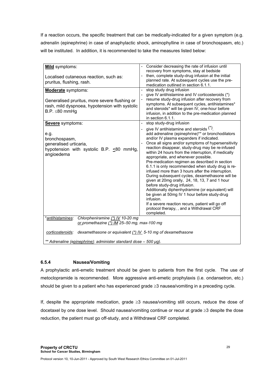If a reaction occurs, the specific treatment that can be medically-indicated for a given symptom (e.g. adrenalin (epinephrine) in case of anaphylactic shock, aminophylline in case of bronchospasm, etc.) will be instituted. In addition, it is recommended to take the measures listed below:

| <b>Mild symptoms:</b><br>Localised cutaneous reaction, such as:<br>pruritus, flushing, rash.<br><b>Moderate</b> symptoms:<br>Generalised pruritus, more severe flushing or<br>rash, mild dyspnoea, hypotension with systolic | Consider decreasing the rate of infusion until<br>recovery from symptoms, stay at bedside<br>then, complete study-drug infusion at the initial<br>planned rate. At subsequent cycles use the pre-<br>medication outlined in section 6.1.1.<br>stop study drug infusion<br>give IV antihistamine and IV corticosteroids (*)<br>resume study-drug infusion after recovery from<br>symptoms. At subsequent cycles, antihistamines*                                                                                                                                                                                                                                                                                                                                                                                                                                                                                |  |  |  |
|------------------------------------------------------------------------------------------------------------------------------------------------------------------------------------------------------------------------------|----------------------------------------------------------------------------------------------------------------------------------------------------------------------------------------------------------------------------------------------------------------------------------------------------------------------------------------------------------------------------------------------------------------------------------------------------------------------------------------------------------------------------------------------------------------------------------------------------------------------------------------------------------------------------------------------------------------------------------------------------------------------------------------------------------------------------------------------------------------------------------------------------------------|--|--|--|
| $B.P. \leq 80$ mmHg                                                                                                                                                                                                          | and steroids* will be given IV, one-hour before<br>infusion, in addition to the pre-medication planned<br>in section 6.1.1.                                                                                                                                                                                                                                                                                                                                                                                                                                                                                                                                                                                                                                                                                                                                                                                    |  |  |  |
| <b>Severe</b> symptoms:<br>e.g.<br>bronchospasm,<br>generalised urticaria,<br>hypotension with systolic B.P. <80 mmHg,<br>angioedema                                                                                         | stop study-drug infusion<br>give IV antihistamine and steroids $(*)$ .<br>add adrenaline (epinephrine)** or bronchodilators<br>and/or IV plasma expanders if indicated.<br>Once all signs and/or symptoms of hypersensitivity<br>reaction disappear, study-drug may be re-infused<br>within 24 hours from the interruption, if medically<br>appropriate, and whenever possible.<br>Pre-medication regimen as described in section<br>6.1.1 is only recommended when study drug is re-<br>infused more than 3 hours after the interruption.<br>During subsequent cycles, dexamethasone will be<br>given at 20mg orally, 24, 18, 13, 7 and 1 hour<br>before study-drug infusion.<br>Additionally diphenhydramine (or equivalent) will<br>be given at 50mg IV 1 hour before study-drug<br>infusion.<br>If a severe reaction recurs, patient will go off<br>protocol therapy, , and a Withdrawal CRF<br>completed. |  |  |  |
| Chlorpheniramine (*) IV 10-20 mg<br>*antihistamines:<br>or promethazine (*) IM 25-50 mg, max-100 mg                                                                                                                          |                                                                                                                                                                                                                                                                                                                                                                                                                                                                                                                                                                                                                                                                                                                                                                                                                                                                                                                |  |  |  |
| corticosteroids: dexamethasone or equivalent $(*)$ IV 5-10 mg of dexamethasone<br>** Adrenaline (epinephrine): administer standard dose - 500 µg).                                                                           |                                                                                                                                                                                                                                                                                                                                                                                                                                                                                                                                                                                                                                                                                                                                                                                                                                                                                                                |  |  |  |
|                                                                                                                                                                                                                              |                                                                                                                                                                                                                                                                                                                                                                                                                                                                                                                                                                                                                                                                                                                                                                                                                                                                                                                |  |  |  |

# **6.5.4 Nausea/Vomiting**

A prophylactic anti-emetic treatment should be given to patients from the first cycle. The use of metoclopramide is recommended. More aggressive anti-emetic prophylaxis (i.e. ondansetron, etc.) should be given to a patient who has experienced grade ≥3 nausea/vomiting in a preceding cycle.

If, despite the appropriate medication, grade ≥3 nausea/vomiting still occurs, reduce the dose of docetaxel by one dose level. Should nausea/vomiting continue or recur at grade ≥3 despite the dose reduction, the patient must go off-study, and a Withdrawal CRF completed.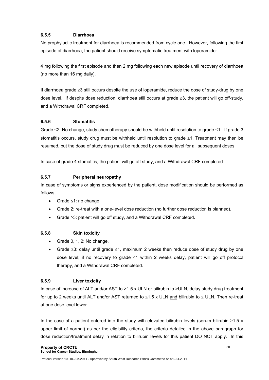#### **6.5.5 Diarrhoea**

No prophylactic treatment for diarrhoea is recommended from cycle one. However, following the first episode of diarrhoea, the patient should receive symptomatic treatment with loperamide:

4 mg following the first episode and then 2 mg following each new episode until recovery of diarrhoea (no more than 16 mg daily).

If diarrhoea grade ≥3 still occurs despite the use of loperamide, reduce the dose of study-drug by one dose level. If despite dose reduction, diarrhoea still occurs at grade  $\geq$ 3, the patient will go off-study, and a Withdrawal CRF completed.

# **6.5.6 Stomatitis**

Grade ≤2: No change, study chemotherapy should be withheld until resolution to grade ≤1. If grade 3 stomatitis occurs, study drug must be withheld until resolution to grade ≤1. Treatment may then be resumed, but the dose of study drug must be reduced by one dose level for all subsequent doses.

In case of grade 4 stomatitis, the patient will go off study, and a Withdrawal CRF completed.

# **6.5.7 Peripheral neuropathy**

In case of symptoms or signs experienced by the patient, dose modification should be performed as follows:

- Grade ≤1: no change.
- Grade 2: re-treat with a one-level dose reduction (no further dose reduction is planned).
- Grade ≥3: patient will go off study, and a Withdrawal CRF completed.

#### **6.5.8 Skin toxicity**

- Grade 0, 1, 2: No change.
- Grade  $\geq$ 3: delay until grade  $\leq$ 1, maximum 2 weeks then reduce dose of study drug by one dose level; if no recovery to grade ≤1 within 2 weeks delay, patient will go off protocol therapy, and a Withdrawal CRF completed.

#### **6.5.9 Liver toxicity**

In case of increase of ALT and/or AST to >1.5 x ULN or bilirubin to >ULN, delay study drug treatment for up to 2 weeks until ALT and/or AST returned to  $\leq$ 1.5 x ULN and bilirubin to  $\leq$  ULN. Then re-treat at one dose level lower.

In the case of a patient entered into the study with elevated bilirubin levels (serum bilirubin  $\geq 1.5 \times$ upper limit of normal) as per the eligibility criteria, the criteria detailed in the above paragraph for dose reduction/treatment delay in relation to bilirubin levels for this patient DO NOT apply. In this

**School for Cancer Studies, Birmingham**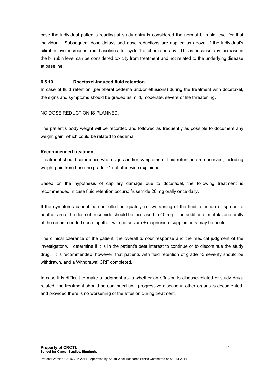case the individual patient's reading at study entry is considered the normal bilirubin level for that individual. Subsequent dose delays and dose reductions are applied as above, if the individual's bilirubin level increases from baseline after cycle 1 of chemotherapy. This is because any increase in the bilirubin level can be considered toxicity from treatment and not related to the underlying disease at baseline.

#### **6.5.10 Docetaxel-induced fluid retention**

In case of fluid retention (peripheral oedema and/or effusions) during the treatment with docetaxel, the signs and symptoms should be graded as mild, moderate, severe or life threatening.

#### NO DOSE REDUCTION IS PLANNED.

The patient's body weight will be recorded and followed as frequently as possible to document any weight gain, which could be related to oedema.

#### **Recommended treatment**

Treatment should commence when signs and/or symptoms of fluid retention are observed, including weight gain from baseline grade ≥1 not otherwise explained.

Based on the hypothesis of capillary damage due to docetaxel, the following treatment is recommended in case fluid retention occurs: frusemide 20 mg orally once daily.

If the symptoms cannot be controlled adequately i.e. worsening of the fluid retention or spread to another area, the dose of frusemide should be increased to 40 mg. The addition of metolazone orally at the recommended dose together with potassium  $\pm$  magnesium supplements may be useful.

The clinical tolerance of the patient, the overall tumour response and the medical judgment of the investigator will determine if it is in the patient's best interest to continue or to discontinue the study drug. It is recommended, however, that patients with fluid retention of grade ≥3 severity should be withdrawn, and a Withdrawal CRF completed.

In case it is difficult to make a judgment as to whether an effusion is disease-related or study drugrelated, the treatment should be continued until progressive disease in other organs is documented, and provided there is no worsening of the effusion during treatment.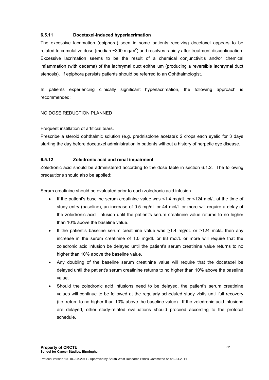#### **6.5.11 Docetaxel-induced hyperlacrimation**

The excessive lacrimation (epiphora) seen in some patients receiving docetaxel appears to be related to cumulative dose (median ~300 mg/m<sup>2</sup>) and resolves rapidly after treatment discontinuation. Excessive lacrimation seems to be the result of a chemical conjunctivitis and/or chemical inflammation (with oedema) of the lachrymal duct epithelium (producing a reversible lachrymal duct stenosis). If epiphora persists patients should be referred to an Ophthalmologist.

In patients experiencing clinically significant hyperlacrimation, the following approach is recommended:

#### NO DOSE REDUCTION PLANNED

Frequent instillation of artificial tears.

Prescribe a steroid ophthalmic solution (e.g. prednisolone acetate): 2 drops each eyelid for 3 days starting the day before docetaxel administration in patients without a history of herpetic eye disease.

#### **6.5.12 Zoledronic acid and renal impairment**

Zoledronic acid should be administered according to the dose table in section 6.1.2. The following precautions should also be applied:

Serum creatinine should be evaluated prior to each zoledronic acid infusion.

- If the patient's baseline serum creatinine value was <1.4 mg/dL or <124 mol/L at the time of study entry (baseline), an increase of 0.5 mg/dL or 44 mol/L or more will require a delay of the zoledronic acid infusion until the patient's serum creatinine value returns to no higher than 10% above the baseline value.
- If the patient's baseline serum creatinine value was >1.4 mg/dL or >124 mol/L then any increase in the serum creatinine of 1.0 mg/dL or 88 mol/L or more will require that the zoledronic acid infusion be delayed until the patient's serum creatinine value returns to no higher than 10% above the baseline value.
- Any doubling of the baseline serum creatinine value will require that the docetaxel be delayed until the patient's serum creatinine returns to no higher than 10% above the baseline value.
- Should the zoledronic acid infusions need to be delayed, the patient's serum creatinine values will continue to be followed at the regularly scheduled study visits until full recovery (i.e. return to no higher than 10% above the baseline value). If the zoledronic acid infusions are delayed, other study-related evaluations should proceed according to the protocol schedule.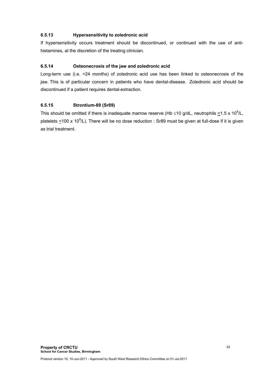# **6.5.13 Hypersensitivity to zoledronic acid**

If hypersensitivity occurs treatment should be discontinued, or continued with the use of antihistamines, at the discretion of the treating clinician.

# **6.5.14 Osteonecrosis of the jaw and zoledronic acid**

Long-term use (i.e. >24 months) of zoledronic acid use has been linked to osteonecrosis of the jaw. This is of particular concern in patients who have dental-disease. Zoledronic acid should be discontinued if a patient requires dental-extraction.

# **6.5.15 Strontium-89 (Sr89)**

This should be omitted if there is inadequate marrow reserve (Hb ≤10 g/dL, neutrophils  $\leq$ 1.5 x 10<sup>9</sup>/L, platelets  $\leq$ 100 x 10<sup>9</sup>/L). There will be no dose reduction : Sr89 must be given at full-dose if it is given as trial treatment.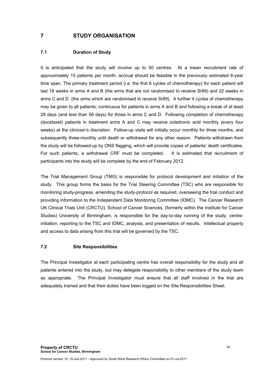# **7 STUDY ORGANISATION**

#### **7.1 Duration of Study**

It is anticipated that the study will involve up to 50 centres. At a mean recruitment rate of approximately 15 patients per month, accrual should be feasible in the previously estimated 6-year time span. The primary treatment period (i.e. the first 6 cycles of chemotherapy) for each patient will last 18 weeks in arms A and B (the arms that are not randomised to receive Sr89) and 22 weeks in arms C and D (the arms which are randomised to receive Sr89). A further 4 cycles of chemotherapy may be given to all patients; continuous for patients in arms A and B and following a break of at least 28 days (and less than 56 days) for those in arms C and D. Following completion of chemotherapy (docetaxel) patients in treatment arms A and C may receive zoledronic acid monthly (every four weeks) at the clinician's discretion. Follow-up visits will initially occur monthly for three months, and subsequently three-monthly until death or withdrawal for any other reason. Patients withdrawn from the study will be followed-up by ONS flagging, which will provide copies of patients' death certificates. For such patients, a withdrawal CRF must be completed. It is estimated that recruitment of participants into the study will be complete by the end of February 2012.

The Trial Management Group (TMG) is responsible for protocol development and initiation of the study. This group forms the basis for the Trial Steering Committee (TSC) who are responsible for monitoring study-progress, amending the study-protocol as required, overseeing the trial conduct and providing information to the Independent Data Monitoring Committee (IDMC). The Cancer Research UK Clinical Trials Unit (CRCTU), School of Cancer Sciences, (formerly within the Institute for Cancer Studies) University of Birmingham, is responsible for the day-to-day running of the study, centreinitiation, reporting to the TSC and IDMC, analysis, and presentation of results. Intellectual property and access to data arising from this trial will be governed by the TSC.

#### **7.2 Site Responsibilities**

The Principal Investigator at each participating centre has overall responsibility for the study and all patients entered into the study, but may delegate responsibility to other members of the study team as appropriate. The Principal Investigator must ensure that all staff involved in the trial are adequately trained and that their duties have been logged on the Site Responsibilities Sheet.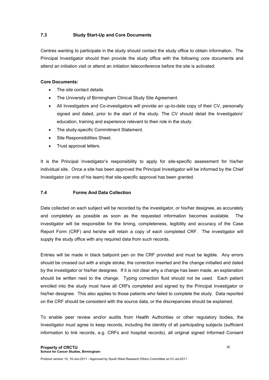## **7.3 Study Start-Up and Core Documents**

Centres wanting to participate in the study should contact the study office to obtain information. The Principal Investigator should then provide the study office with the following core documents and attend an initiation visit or attend an initiation teleconference before the site is activated:

#### **Core Documents:**

- The site contact details.
- The University of Birmingham Clinical Study Site Agreement.
- All Investigators and Co-investigators will provide an up-to-date copy of their CV, personally signed and dated, prior to the start of the study. The CV should detail the Investigators' education, training and experience relevant to their role in the study.
- The study-specific Commitment Statement.
- Site Responsibilities Sheet.
- Trust approval letters.

It is the Principal Investigator's responsibility to apply for site-specific assessment for his/her individual site. Once a site has been approved the Principal Investigator will be informed by the Chief Investigator (or one of his team) that site-specific approval has been granted.

#### **7.4 Forms And Data Collection**

Data collected on each subject will be recorded by the investigator, or his/her designee, as accurately and completely as possible as soon as the requested information becomes available. The investigator will be responsible for the timing, completeness, legibility and accuracy of the Case Report Form (CRF) and he/she will retain a copy of each completed CRF. The investigator will supply the study office with any required data from such records.

Entries will be made in black ballpoint pen on the CRF provided and must be legible. Any errors should be crossed out with a single stroke, the correction inserted and the change initialled and dated by the investigator or his/her designee. If it is not clear why a change has been made, an explanation should be written next to the change. Typing correction fluid should not be used. Each patient enrolled into the study must have all CRFs completed and signed by the Principal Investigator or his/her designee. This also applies to those patients who failed to complete the study. Data reported on the CRF should be consistent with the source data, or the discrepancies should be explained.

To enable peer review and/or audits from Health Authorities or other regulatory bodies, the Investigator must agree to keep records, including the identity of all participating subjects (sufficient information to link records, e.g. CRFs and hospital records), all original signed Informed Consent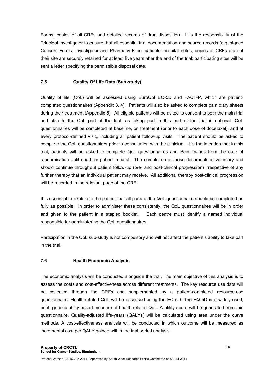Forms, copies of all CRFs and detailed records of drug disposition. It is the responsibility of the Principal Investigator to ensure that all essential trial documentation and source records (e.g. signed Consent Forms, Investigator and Pharmacy Files, patients' hospital notes, copies of CRFs etc.) at their site are securely retained for at least five years after the end of the trial: participating sites will be sent a letter specifying the permissible disposal date.

### **7.5 Quality Of Life Data (Sub-study)**

Quality of life (QoL) will be assessed using EuroQol EQ-5D and FACT-P, which are patientcompleted questionnaires (Appendix 3, 4). Patients will also be asked to complete pain diary sheets during their treatment (Appendix 5). All eligible patients will be asked to consent to both the main trial and also to the QoL part of the trial, as taking part in this part of the trial is optional. QoL questionnaires will be completed at baseline, on treatment (prior to each dose of docetaxel), and at every protocol-defined visit,, including all patient follow-up visits. The patient should be asked to complete the QoL questionnaires prior to consultation with the clinician. It is the intention that in this trial, patients will be asked to complete QoL questionnaires and Pain Diaries from the date of randomisation until death or patient refusal. The completion of these documents is voluntary and should continue throughout patient follow-up (pre- and post-clinical progression) irrespective of any further therapy that an individual patient may receive. All additional therapy post-clinical progression will be recorded in the relevant page of the CRF.

It is essential to explain to the patient that all parts of the QoL questionnaire should be completed as fully as possible. In order to administer these consistently, the QoL questionnaires will be in order and given to the patient in a stapled booklet. Each centre must identify a named individual responsible for administering the QoL questionnaires.

Participation in the QoL sub-study is not compulsory and will not affect the patient's ability to take part in the trial.

### **7.6 Health Economic Analysis**

The economic analysis will be conducted alongside the trial. The main objective of this analysis is to assess the costs and cost-effectiveness across different treatments. The key resource use data will be collected through the CRFs and supplemented by a patient-completed resource-use questionnaire. Health-related QoL will be assessed using the EQ-5D. The EQ-5D is a widely-used, brief, generic utility-based measure of health-related QoL. A utility score will be generated from this questionnaire. Quality-adjusted life-years (QALYs) will be calculated using area under the curve methods. A cost-effectiveness analysis will be conducted in which outcome will be measured as incremental cost per QALY gained within the trial period analysis.

Protocol version 10, 10-Jun-2011 - Approved by South West Research Ethics Committee on 01-Jul-2011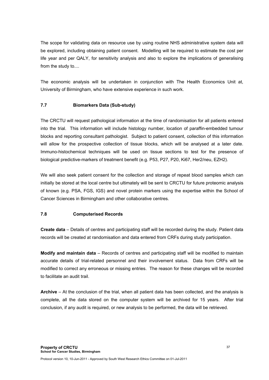The scope for validating data on resource use by using routine NHS administrative system data will be explored, including obtaining patient consent. Modelling will be required to estimate the cost per life year and per QALY, for sensitivity analysis and also to explore the implications of generalising from the study to....

The economic analysis will be undertaken in conjunction with The Health Economics Unit at, University of Birmingham, who have extensive experience in such work.

### **7.7 Biomarkers Data (Sub-study)**

The CRCTU will request pathological information at the time of randomisation for all patients entered into the trial. This information will include histology number, location of paraffin-embedded tumour blocks and reporting consultant pathologist. Subject to patient consent, collection of this information will allow for the prospective collection of tissue blocks, which will be analysed at a later date. Immuno-histochemical techniques will be used on tissue sections to test for the presence of biological predictive-markers of treatment benefit (e.g. P53, P27, P20, Ki67, Her2/neu, EZH2).

We will also seek patient consent for the collection and storage of repeat blood samples which can initially be stored at the local centre but ultimately will be sent to CRCTU for future proteomic analysis of known (e.g. PSA, FGS, IGS) and novel protein markers using the expertise within the School of Cancer Sciences in Birmingham and other collaborative centres.

### **7.8 Computerised Records**

**Create data** – Details of centres and participating staff will be recorded during the study. Patient data records will be created at randomisation and data entered from CRFs during study participation.

**Modify and maintain data** – Records of centres and participating staff will be modified to maintain accurate details of trial-related personnel and their involvement status. Data from CRFs will be modified to correct any erroneous or missing entries. The reason for these changes will be recorded to facilitate an audit trail.

**Archive** – At the conclusion of the trial, when all patient data has been collected, and the analysis is complete, all the data stored on the computer system will be archived for 15 years. After trial conclusion, if any audit is required, or new analysis to be performed, the data will be retrieved.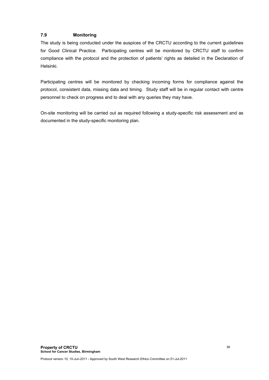# **7.9 Monitoring**

The study is being conducted under the auspices of the CRCTU according to the current guidelines for Good Clinical Practice. Participating centres will be monitored by CRCTU staff to confirm compliance with the protocol and the protection of patients' rights as detailed in the Declaration of Helsinki.

Participating centres will be monitored by checking incoming forms for compliance against the protocol, consistent data, missing data and timing. Study staff will be in regular contact with centre personnel to check on progress and to deal with any queries they may have.

On-site monitoring will be carried out as required following a study-specific risk assessment and as documented in the study-specific monitoring plan.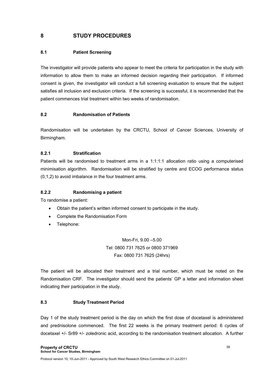# **8 STUDY PROCEDURES**

## **8.1 Patient Screening**

The investigator will provide patients who appear to meet the criteria for participation in the study with information to allow them to make an informed decision regarding their participation. If informed consent is given, the investigator will conduct a full screening evaluation to ensure that the subject satisfies all inclusion and exclusion criteria. If the screening is successful, it is recommended that the patient commences trial treatment within two weeks of randomisation.

## **8.2 Randomisation of Patients**

Randomisation will be undertaken by the CRCTU, School of Cancer Sciences, University of Birmingham.

## **8.2.1 Stratification**

Patients will be randomised to treatment arms in a 1:1:1:1 allocation ratio using a computerised minimisation algorithm. Randomisation will be stratified by centre and ECOG performance status (0,1,2) to avoid imbalance in the four treatment arms.

## **8.2.2 Randomising a patient**

To randomise a patient:

- Obtain the patient's written informed consent to participate in the study.
- Complete the Randomisation Form
- Telephone:

Mon-Fri, 9.00 –5.00 Tel: 0800 731 7625 or 0800 371969 Fax: 0800 731 7625 (24hrs)

The patient will be allocated their treatment and a trial number, which must be noted on the Randomisation CRF. The investigator should send the patients' GP a letter and information sheet indicating their participation in the study.

### **8.3 Study Treatment Period**

Day 1 of the study treatment period is the day on which the first dose of docetaxel is administered and prednisolone commenced. The first 22 weeks is the primary treatment period: 6 cycles of docetaxel +/- Sr89 +/- zoledronic acid, according to the randomisation treatment allocation. A further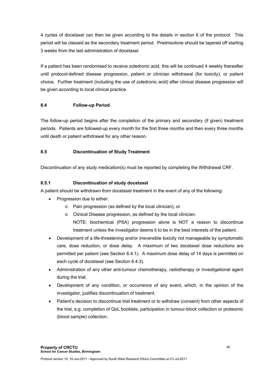4 cycles of docetaxel can then be given according to the details in section 6 of the protocol. This period will be classed as the secondary treatment period. Prednisolone should be tapered off starting 3 weeks from the last administration of docetaxel.

If a patient has been randomised to receive zoledronic acid, this will be continued 4 weekly thereafter until protocol-defined disease progression, patient or clinician withdrawal (for toxicity), or patient choice. Further treatment (including the use of zoledronic acid) after clinical disease progression will be given according to local clinical practice.

## **8.4 Follow-up Period**

The follow-up period begins after the completion of the primary and secondary (if given) treatment periods. Patients are followed-up every month for the first three months and then every three months until death or patient withdrawal for any other reason.

# **8.5 Discontinuation of Study Treatment**

Discontinuation of any study medication(s) must be reported by completing the Withdrawal CRF.

## **8.5.1 Discontinuation of study docetaxel**

A patient should be withdrawn from docetaxel treatment in the event of any of the following:

- Progression due to either:
	- o Pain progression (as defined by the local clinician), or
	- o Clinical Disease progression, as defined by the local clinician. NOTE: biochemical (PSA) progression alone is NOT a reason to discontinue treatment unless the investigator deems it to be in the best interests of the patient.
- Development of a life-threatening and/or irreversible toxicity not manageable by symptomatic care, dose reduction, or dose delay. A maximum of two docetaxel dose reductions are permitted per patient (see Section 6.4.1). A maximum dose delay of 14 days is permitted on each cycle of docetaxel (see Section 6.4.3).
- Administration of any other anti-tumour chemotherapy, radiotherapy or investigational agent during the trial.
- Development of any condition, or occurrence of any event, which, in the opinion of the investigator, justifies discontinuation of treatment.
- Patient's decision to discontinue trial treatment or to withdraw (consent) from other aspects of the trial, e.g. completion of QoL booklets, participation in tumour-block collection or proteomic (blood sample) collection.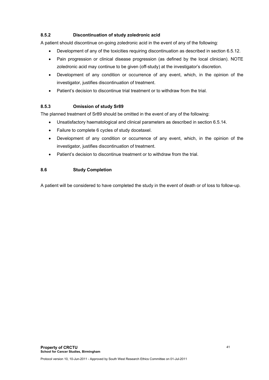## **8.5.2 Discontinuation of study zoledronic acid**

A patient should discontinue on-going zoledronic acid in the event of any of the following:

- Development of any of the toxicities requiring discontinuation as described in section 6.5.12.
- Pain progression or clinical disease progression (as defined by the local clinician). NOTE zoledronic acid may continue to be given (off-study) at the investigator's discretion.
- Development of any condition or occurrence of any event, which, in the opinion of the investigator, justifies discontinuation of treatment.
- Patient's decision to discontinue trial treatment or to withdraw from the trial.

### **8.5.3 Omission of study Sr89**

The planned treatment of Sr89 should be omitted in the event of any of the following:

- Unsatisfactory haematological and clinical parameters as described in section 6.5.14.
- Failure to complete 6 cycles of study docetaxel.
- Development of any condition or occurrence of any event, which, in the opinion of the investigator, justifies discontinuation of treatment.
- Patient's decision to discontinue treatment or to withdraw from the trial.

### **8.6 Study Completion**

A patient will be considered to have completed the study in the event of death or of loss to follow-up.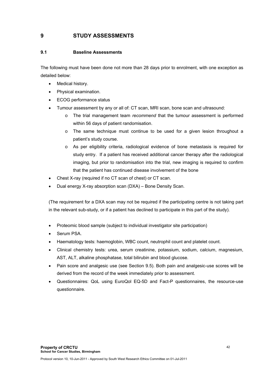# **9 STUDY ASSESSMENTS**

### **9.1 Baseline Assessments**

The following must have been done not more than 28 days prior to enrolment, with one exception as detailed below:

- Medical history.
- Physical examination.
- ECOG performance status
- Tumour assessment by any or all of: CT scan, MRI scan, bone scan and ultrasound:
	- o The trial management team *recommend* that the tumour assessment is performed within 56 days of patient randomisation.
	- o The same technique must continue to be used for a given lesion throughout a patient's study course.
	- o As per eligibility criteria, radiological evidence of bone metastasis is required for study entry. If a patient has received additional cancer therapy after the radiological imaging, but prior to randomisation into the trial, new imaging is required to confirm that the patient has continued disease involvement of the bone
- Chest X-ray (required if no CT scan of chest) or CT scan.
- Dual energy X-ray absorption scan (DXA) Bone Density Scan.

(The requirement for a DXA scan may not be required if the participating centre is not taking part in the relevant sub-study, or if a patient has declined to participate in this part of the study).

- Proteomic blood sample (subject to individual investigator site participation)
- Serum PSA

**Property of CRCTU** 

- Haematology tests: haemoglobin, WBC count, neutrophil count and platelet count.
- Clinical chemistry tests: urea, serum creatinine, potassium, sodium, calcium, magnesium, AST, ALT, alkaline phosphatase, total bilirubin and blood glucose.
- Pain score and analgesic use (see Section 9.5). Both pain and analgesic-use scores will be derived from the record of the week immediately prior to assessment.
- Questionnaires: QoL using EuroQol EQ-5D and Fact-P questionnaires, the resource-use questionnaire.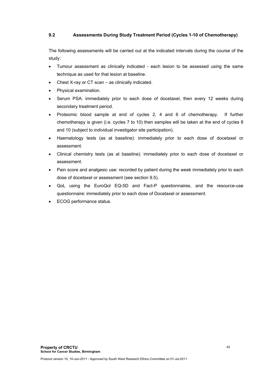### **9.2 Assessments During Study Treatment Period (Cycles 1-10 of Chemotherapy)**

The following assessments will be carried out at the indicated intervals during the course of the study:

- Tumour assessment as clinically indicated each lesion to be assessed using the same technique as used for that lesion at baseline.
- Chest X-ray or CT scan as clinically indicated.
- Physical examination.
- Serum PSA: immediately prior to each dose of docetaxel, then every 12 weeks during secondary treatment period.
- Proteomic blood sample at end of cycles 2, 4 and 6 of chemotherapy. If further chemotherapy is given (i.e. cycles 7 to 10) then samples will be taken at the end of cycles 8 and 10 (subject to individual investigator site participation).
- Haematology tests (as at baseline): immediately prior to each dose of docetaxel or assessment.
- Clinical chemistry tests (as at baseline): immediately prior to each dose of docetaxel or assessment.
- Pain score and analgesic use: recorded by patient during the week immediately prior to each dose of docetaxel or assessment (see section 9.5).
- QoL using the EuroQol EQ-5D and Fact-P questionnaires, and the resource-use questionnaire: immediately prior to each dose of Docetaxel or assessment.
- ECOG performance status.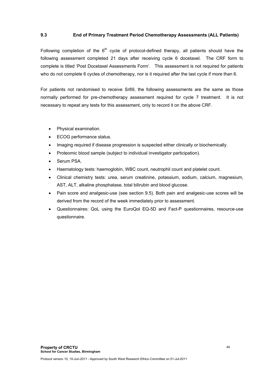### **9.3 End of Primary Treatment Period Chemotherapy Assessments (ALL Patients)**

Following completion of the  $6<sup>th</sup>$  cycle of protocol-defined therapy, all patients should have the following assessment completed 21 days after receiving cycle 6 docetaxel. The CRF form to complete is titled 'Post Docetaxel Assessments Form'. This assessment is not required for patients who do not complete 6 cycles of chemotherapy, nor is it required after the last cycle if more than 6.

For patients not randomised to receive Sr89, the following assessments are the same as those normally performed for pre-chemotherapy assessment required for cycle 7 treatment. It is not necessary to repeat any tests for this assessment, only to record it on the above CRF.

- Physical examination.
- ECOG performance status.
- Imaging required if disease progression is suspected either clinically or biochemically.
- Proteomic blood sample (subject to individual investigator participation).
- Serum PSA.
- Haematology tests: haemoglobin, WBC count, neutrophil count and platelet count.
- Clinical chemistry tests: urea, serum creatinine, potassium, sodium, calcium, magnesium, AST, ALT, alkaline phosphatase, total bilirubin and blood glucose.
- Pain score and analgesic-use (see section 9.5). Both pain and analgesic-use scores will be derived from the record of the week immediately prior to assessment.
- Questionnaires: QoL using the EuroQol EQ-5D and Fact-P questionnaires, resource-use questionnaire.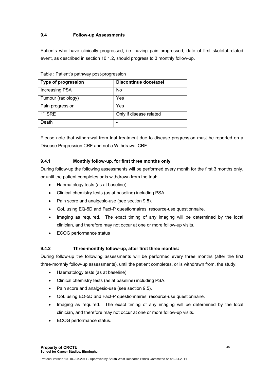### **9.4 Follow-up Assessments**

Patients who have clinically progressed, i.e. having pain progressed, date of first skeletal-related event, as described in section 10.1.2, should progress to 3 monthly follow-up.

| <b>Type of progression</b> | <b>Discontinue docetaxel</b> |
|----------------------------|------------------------------|
| Increasing PSA             | No                           |
| Tumour (radiology)         | Yes                          |
| Pain progression           | Yes                          |
| $1st$ SRE                  | Only if disease related      |
| Death                      |                              |

Please note that withdrawal from trial treatment due to disease progression must be reported on a Disease Progression CRF and not a Withdrawal CRF.

# **9.4.1 Monthly follow-up, for first three months only**

During follow-up the following assessments will be performed every month for the first 3 months only, or until the patient completes or is withdrawn from the trial:

- Haematology tests (as at baseline).
- Clinical chemistry tests (as at baseline) including PSA.
- Pain score and analgesic-use (see section 9.5).
- QoL using EQ-5D and Fact-P questionnaires, resource-use questionnaire.
- Imaging as required. The exact timing of any imaging will be determined by the local clinician, and therefore may not occur at one or more follow-up visits.
- ECOG performance status

### **9.4.2 Three-monthly follow-up, after first three months:**

During follow-up the following assessments will be performed every three months (after the first three-monthly follow-up assessments), until the patient completes, or is withdrawn from, the study:

- Haematology tests (as at baseline).
- Clinical chemistry tests (as at baseline) including PSA.
- Pain score and analgesic-use (see section 9.5).
- QoL using EQ-5D and Fact-P questionnaires, resource-use questionnaire.
- Imaging as required. The exact timing of any imaging will be determined by the local clinician, and therefore may not occur at one or more follow-up visits.
- ECOG performance status.

45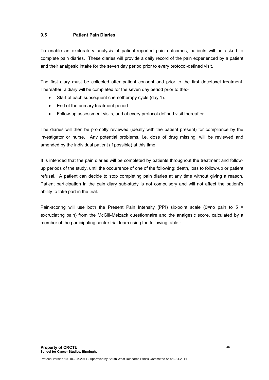### **9.5 Patient Pain Diaries**

To enable an exploratory analysis of patient-reported pain outcomes, patients will be asked to complete pain diaries. These diaries will provide a daily record of the pain experienced by a patient and their analgesic intake for the seven day period prior to every protocol-defined visit.

The first diary must be collected after patient consent and prior to the first docetaxel treatment. Thereafter, a diary will be completed for the seven day period prior to the:-

- Start of each subsequent chemotherapy cycle (day 1).
- End of the primary treatment period.
- Follow-up assessment visits, and at every protocol-defined visit thereafter.

The diaries will then be promptly reviewed (ideally with the patient present) for compliance by the investigator or nurse. Any potential problems, i.e. dose of drug missing, will be reviewed and amended by the individual patient (if possible) at this time.

It is intended that the pain diaries will be completed by patients throughout the treatment and followup periods of the study, until the occurrence of one of the following: death, loss to follow-up or patient refusal. A patient can decide to stop completing pain diaries at any time without giving a reason. Patient participation in the pain diary sub-study is not compulsory and will not affect the patient's ability to take part in the trial.

Pain-scoring will use both the Present Pain Intensity (PPI) six-point scale (0=no pain to  $5 =$ excruciating pain) from the McGill-Melzack questionnaire and the analgesic score, calculated by a member of the participating centre trial team using the following table :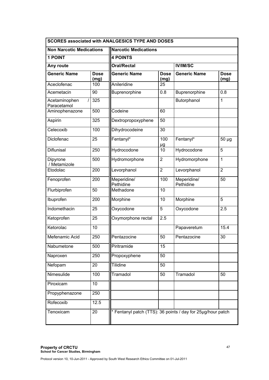| <b>SCORES associated with ANALGESICS TYPE AND DOSES</b> |                     |                                                             |                     |                          |                     |  |
|---------------------------------------------------------|---------------------|-------------------------------------------------------------|---------------------|--------------------------|---------------------|--|
| <b>Non Narcotic Medications</b>                         |                     | <b>Narcotic Medications</b>                                 |                     |                          |                     |  |
| 1 POINT                                                 |                     | <b>4 POINTS</b>                                             |                     |                          |                     |  |
| Any route                                               |                     | <b>Oral/Rectal</b>                                          |                     | <b>IV/IM/SC</b>          |                     |  |
| <b>Generic Name</b>                                     | <b>Dose</b><br>(mg) | <b>Generic Name</b>                                         | <b>Dose</b><br>(mg) | <b>Generic Name</b>      | <b>Dose</b><br>(mg) |  |
| Aceclofenac                                             | 100                 | Anileridine                                                 | 25                  |                          |                     |  |
| Acemetacin                                              | 90                  | Buprenorphine                                               | 0.8                 | Buprenorphine            | 0.8                 |  |
| Acetaminophen<br>$\prime$<br>Paracetamol                | 325                 |                                                             |                     | Butorphanol              | 1                   |  |
| Aminophenazone                                          | 500                 | Codeine                                                     | 60                  |                          |                     |  |
| Aspirin                                                 | 325                 | Dextropropoxyphene                                          | 50                  |                          |                     |  |
| Celecoxib                                               | 100                 | Dihydrocodeine                                              | 30                  |                          |                     |  |
| Diclofenac                                              | 25                  | Fentanyl*                                                   | 100<br>μg           | Fentanyl*                | $50 \mu g$          |  |
| Diflunisal                                              | 250                 | Hydrocodone                                                 | 10                  | Hydrocodone              | 5                   |  |
| Dipyrone<br>/ Metamizole                                | 500                 | Hydromorphone                                               | $\overline{2}$      | Hydromorphone            | 1                   |  |
| Etodolac                                                | 200                 | Levorphanol                                                 | $\overline{2}$      | Levorphanol              | $\overline{2}$      |  |
| Fenoprofen                                              | 200                 | Meperidine/<br>Pethidine                                    | 100                 | Meperidine/<br>Pethidine | 50                  |  |
| Flurbiprofen                                            | 50                  | Methadone                                                   | 10                  |                          |                     |  |
| Ibuprofen                                               | 200                 | Morphine                                                    | 10                  | Morphine                 | 5                   |  |
| Indomethacin                                            | 25                  | Oxycodone                                                   | 5                   | Oxycodone                | 2.5                 |  |
| Ketoprofen                                              | 25                  | Oxymorphone rectal                                          | 2.5                 |                          |                     |  |
| Ketorolac                                               | 10                  |                                                             |                     | Papaveretum              | 15.4                |  |
| Mefenamic Acid                                          | 250                 | Pentazocine                                                 | 50                  | Pentazocine              | 30                  |  |
| Nabumetone                                              | 500                 | Piritramide                                                 | 15                  |                          |                     |  |
| Naproxen                                                | 250                 | Propoxyphene                                                | $\overline{50}$     |                          |                     |  |
| Nefopam                                                 | 20                  | Tilidine                                                    | 50                  |                          |                     |  |
| Nimesulide                                              | 100                 | Tramadol                                                    | 50                  | Tramadol                 | 50                  |  |
| Piroxicam                                               | 10                  |                                                             |                     |                          |                     |  |
| Propyphenazone                                          | 250                 |                                                             |                     |                          |                     |  |
| Rofecoxib                                               | 12.5                |                                                             |                     |                          |                     |  |
| Tenoxicam                                               | 20                  | * Fentanyl patch (TTS): 36 points / day for 25µg/hour patch |                     |                          |                     |  |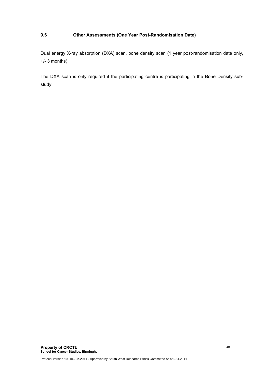## **9.6 Other Assessments (One Year Post-Randomisation Date)**

Dual energy X-ray absorption (DXA) scan, bone density scan (1 year post-randomisation date only, +/- 3 months)

The DXA scan is only required if the participating centre is participating in the Bone Density substudy.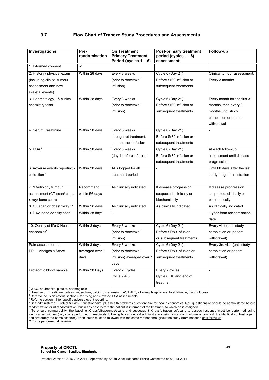### **9.7 Flow Chart of Trapeze Study Procedures and Assessments**

| <b>Investigations</b>                  | Pre-<br>randomisation | <b>On Treatment</b><br><b>Primary Treatment</b><br>Period (cycles $1 - 6$ ) | Post-primary treatment<br>period (cycles 1 - 6)<br>assessment | Follow-up                    |
|----------------------------------------|-----------------------|-----------------------------------------------------------------------------|---------------------------------------------------------------|------------------------------|
| 1. Informed consent                    | $\blacktriangledown$  |                                                                             |                                                               |                              |
| 2. History / physical exam             | Within 28 days        | Every 3 weeks                                                               | Cycle 6 (Day 21)                                              | Clinical tumour assessment:  |
| (including clinical tumour             |                       | (prior to docetaxel                                                         | Before Sr89 infusion or                                       | Every 3 months               |
| assessment and new                     |                       | infusion)                                                                   | subsequent treatments                                         |                              |
| skeletal events)                       |                       |                                                                             |                                                               |                              |
| 3. Haematology <sup>1</sup> & clinical | Within 28 days        | Every 3 weeks                                                               | Cycle 6 (Day 21)                                              | Every month for the first 3  |
| chemistry tests <sup>2</sup>           |                       | (prior to docetaxel                                                         | Before Sr89 infusion or                                       | months, then every 3         |
|                                        |                       | infusion)                                                                   | subsequent treatments                                         | months until study           |
|                                        |                       |                                                                             |                                                               | completion or patient        |
|                                        |                       |                                                                             |                                                               | withdrawal                   |
| 4. Serum Creatinine                    | Within 28 days        | Every 3 weeks                                                               | Cycle 6 (Day 21)                                              |                              |
|                                        |                       | throughout treatment,                                                       | Before Sr89 infusion or                                       |                              |
|                                        |                       | prior to each infusion                                                      | subsequent treatments                                         |                              |
| 5. PSA $3$                             | Within 28 days        | Every 3 weeks                                                               | Cycle 6 (Day 21)                                              | At each follow-up            |
|                                        |                       | (day 1 before infusion)                                                     | Before Sr89 infusion or                                       | assessment until disease     |
|                                        |                       |                                                                             | subsequent treatments                                         | progression                  |
| 6. Adverse events reporting /          | Within 28 days        | AEs logged for all                                                          |                                                               | Until 60 days after the last |
| collection <sup>4</sup>                |                       | treatment period                                                            |                                                               | study drug administration    |
|                                        |                       |                                                                             |                                                               |                              |
| 7. *Radiology tumour                   | Recommend             | As clinically indicated                                                     | If disease progression                                        | If disease progression       |
| assessment (CT scan/ chest             | within 56 days        |                                                                             | suspected, clinically or                                      | suspected, clinically or     |
| x-ray/ bone scan)                      |                       |                                                                             | biochemically                                                 | biochemically                |
| 8. CT scan or chest x-ray **           | Within 28 days        | As clinically indicated                                                     | As clinically indicated                                       | As clinically indicated      |
| 9. DXA bone density scan               | Within 28 days        | ÷,                                                                          | $\overline{a}$                                                | 1 year from randomisation    |
|                                        |                       |                                                                             |                                                               | date                         |
| 10. Quality of life & Health           | Within 3 days         | Every 3 weeks                                                               | Cycle 6 (Day 21)                                              | Every visit (until study     |
| economics <sup>5</sup>                 |                       | (prior to docetaxel                                                         | Before SR89 infusion                                          | completion or patient        |
|                                        |                       | infusion)                                                                   | or subsequent treatments                                      | withdrawal)                  |
| Pain assessments:                      | Within 3 days,        | Every 3 weeks                                                               | Cycle 6 (Day 21)                                              | Every 3rd visit (until study |
| PPI + Analgesic Score                  | averaged over 7       | (prior to docetaxel                                                         | Before SR89 infusion or                                       | completion or patient        |
|                                        | days                  | infusion) averaged over 7                                                   | subsequent treatments                                         | withdrawal)                  |
|                                        |                       | days                                                                        |                                                               |                              |
| Proteomic blood sample                 | Within 28 Days        | Every 2 Cycles                                                              | Every 2 cycles                                                |                              |
|                                        |                       | Cycle 2,4,6                                                                 | Cycle 8, 10 and end of                                        |                              |
|                                        |                       |                                                                             | treatment                                                     |                              |

1 WBC, neutrophils, platelet, haemoglobin

<sup>2</sup> Urea, serum creatinine, potassium, sodium, calcium, magnesium, AST ALT, alkaline phosphatase, total bilirubin, blood glucose<br><sup>3</sup> Refer to inclusion criteria section 5 for rising and elevated PSA assessments

<sup>4</sup> Refer to section 11 for specific adverse event reporting.<br><sup>5</sup> Self administered EuroQol & Fact-P questionnaire, plus health problems questionnaire for health economics. QoL questionnaire should be administered before randomization or at randomization, but in any case before the patient is informed of the treatment to which he is assigned

\* To ensure comparability, the baseline X-rays/ultrasounds/scans and subsequent X-rays/ultrasounds/scans to assess response must be performed using identical techniques (i.e., scans performed immediately following bolus contrast administration using a standard volume of contrast, the identical contrast agent, and preferably the same scanner). Each lesion must be followed with the same method throughout the study (from baseline until follow-up). \*\* To be performed at baseline: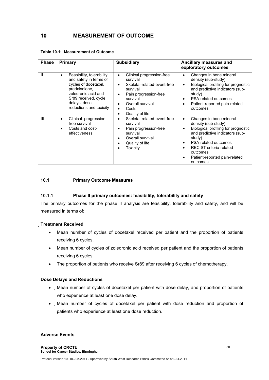|  | Table 10.1: Measurement of Outcome |
|--|------------------------------------|
|--|------------------------------------|

| <b>Phase</b> | Primary                                                                                                                                                                                             | <b>Subsidiary</b>                                                                                                                                                                                                   | Ancillary measures and<br>exploratory outcomes                                                                                                                                                                                                              |
|--------------|-----------------------------------------------------------------------------------------------------------------------------------------------------------------------------------------------------|---------------------------------------------------------------------------------------------------------------------------------------------------------------------------------------------------------------------|-------------------------------------------------------------------------------------------------------------------------------------------------------------------------------------------------------------------------------------------------------------|
| $\mathbf{I}$ | Feasibility, tolerability<br>$\bullet$<br>and safety in terms of<br>cycles of docetaxel,<br>prednisolone,<br>zoledronic acid and<br>Sr89 received, cycle<br>delays, dose<br>reductions and toxicity | Clinical progression-free<br>$\bullet$<br>survival<br>Skeletal-related-event-free<br>$\bullet$<br>survival<br>Pain progression-free<br>٠<br>survival<br>Overall survival<br>٠<br>Costs<br>٠<br>Quality of life<br>٠ | Changes in bone mineral<br>density (sub-study)<br>Biological profiling for prognostic<br>and predictive indicators (sub-<br>study)<br>PSA-related outcomes<br>٠<br>Patient-reported pain-related<br>outcomes                                                |
| III          | Clinical progression-<br>٠<br>free survival<br>Costs and cost-<br>effectiveness                                                                                                                     | Skeletal-related-event-free<br>٠<br>survival<br>Pain progression-free<br>٠<br>survival<br>Overall survival<br>٠<br>Quality of life<br>Toxicity                                                                      | Changes in bone mineral<br>density (sub-study)<br>Biological profiling for prognostic<br>and predictive indicators (sub-<br>study)<br>PSA-related outcomes<br>$\bullet$<br>RECIST criteria-related<br>outcomes<br>Patient-reported pain-related<br>outcomes |

### **10.1 Primary Outcome Measures**

# **10.1.1 Phase II primary outcomes: feasibility, tolerability and safety**

The primary outcomes for the phase II analysis are feasibility, tolerability and safety, and will be measured in terms of:

### **Treatment Received**

- Mean number of cycles of docetaxel received per patient and the proportion of patients receiving 6 cycles.
- Mean number of cycles of zoledronic acid received per patient and the proportion of patients receiving 6 cycles.
- The proportion of patients who receive Sr89 after receiving 6 cycles of chemotherapy.

### **Dose Delays and Reductions**

- Mean number of cycles of docetaxel per patient with dose delay, and proportion of patients who experience at least one dose delay.
- Mean number of cycles of docetaxel per patient with dose reduction and proportion of patients who experience at least one dose reduction.

### **Adverse Events**

**Property of CRCTU School for Cancer Studies, Birmingham**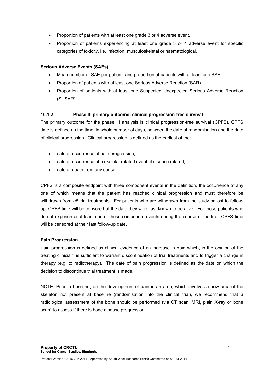- Proportion of patients with at least one grade 3 or 4 adverse event.
- Proportion of patients experiencing at least one grade 3 or 4 adverse event for specific categories of toxicity, i.e. infection, musculoskeletal or haematological.

### **Serious Adverse Events (SAEs)**

- Mean number of SAE per patient, and proportion of patients with at least one SAE.
- Proportion of patients with at least one Serious Adverse Reaction (SAR).
- Proportion of patients with at least one Suspected Unexpected Serious Adverse Reaction (SUSAR).

### **10.1.2 Phase III primary outcome: clinical progression-free survival**

The primary outcome for the phase III analysis is clinical progression-free survival (CPFS). CPFS time is defined as the time, in whole number of days, between the date of randomisation and the date of clinical progression. Clinical progression is defined as the earliest of the:

- date of occurrence of pain progression;
- date of occurrence of a skeletal-related event, if disease related;
- date of death from any cause.

CPFS is a composite endpoint with three component events in the definition, the occurrence of any one of which means that the patient has reached clinical progression and must therefore be withdrawn from *all* trial treatments. For patients who are withdrawn from the study or lost to followup, CPFS time will be censored at the date they were last known to be alive. For those patients who do not experience at least one of these component events during the course of the trial, CPFS time will be censored at their last follow-up date.

### **Pain Progression**

Pain progression is defined as clinical evidence of an increase in pain which, in the opinion of the treating clinician, is sufficient to warrant discontinuation of trial treatments and to trigger a change in therapy (e.g. to radiotherapy). The date of pain progression is defined as the date on which the decision to discontinue trial treatment is made.

NOTE: Prior to baseline, on the development of pain in an area, which involves a new area of the skeleton not present at baseline (randomisation into the clinical trial), we recommend that a radiological assessment of the bone should be performed (via CT scan, MRI, plain X-ray or bone scan) to assess if there is bone disease progression.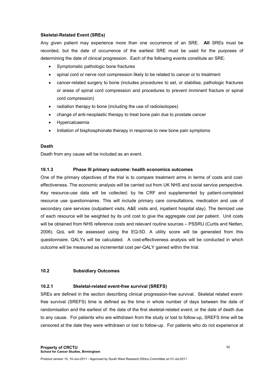### **Skeletal-Related Event (SREs)**

Any given patient may experience more than one occurrence of an SRE. **All** SREs must be recorded, but the date of occurrence of the earliest SRE must be used for the purposes of determining the date of clinical progression. Each of the following events constitute an SRE:

- Symptomatic pathologic bone fractures
- spinal cord or nerve root compression likely to be related to cancer or to treatment
- cancer-related surgery to bone (includes procedures to set, or stabilise, pathologic fractures or areas of spinal cord compression and procedures to prevent imminent fracture or spinal cord compression)
- radiation therapy to bone (including the use of radioisotopes)
- change of anti-neoplastic therapy to treat bone pain due to prostate cancer
- Hypercalcaemia
- Initiation of bisphosphonate therapy in response to new bone pain symptoms

### **Death**

Death from any cause will be included as an event.

### **10.1.3 Phase III primary outcome: health economics outcomes**

One of the primary objectives of the trial is to compare treatment arms in terms of costs and costeffectiveness. The economic analysis will be carried out from UK NHS and social service perspective. Key resource-use data will be collected; by he CRF and supplemented by patient-completed resource use questionnaires. This will include primary care consultations, medication and use of secondary care services (outpatient visits, A&E visits and, inpatient hospital stay). The itemized use of each resource will be weighted by its unit cost to give the aggregate cost per patient. Unit costs will be obtained from NHS reference costs and relevant routine sources – PSSRU (Curtis and Netten, 2006). QoL will be assessed using the EQ-5D. A utility score will be generated from this questionnaire. QALYs will be calculated. A cost-effectiveness analysis will be conducted in which outcome will be measured as incremental cost per-QALY gained within the trial.

### **10.2 Subsidiary Outcomes**

### **10.2.1 Skeletal-related event-free survival (SREFS)**

SREs are defined in the section describing clinical progression-free survival. Skeletal related eventfree survival (SREFS) time is defined as the time in whole number of days between the date of randomisation and the earliest of: the date of the first skeletal-related event; or the date of death due to any cause. For patients who are withdrawn from the study or lost to follow-up, SREFS time will be censored at the date they were withdrawn or lost to follow-up. For patients who do not experience at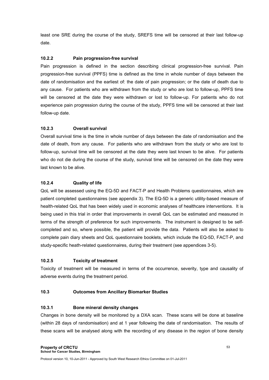least one SRE during the course of the study, SREFS time will be censored at their last follow-up date.

### **10.2.2 Pain progression-free survival**

Pain progression is defined in the section describing clinical progression-free survival. Pain progression-free survival (PPFS) time is defined as the time in whole number of days between the date of randomisation and the earliest of: the date of pain progression; or the date of death due to any cause. For patients who are withdrawn from the study or who are lost to follow-up, PPFS time will be censored at the date they were withdrawn or lost to follow-up. For patients who do not experience pain progression during the course of the study, PPFS time will be censored at their last follow-up date.

## **10.2.3 Overall survival**

Overall survival time is the time in whole number of days between the date of randomisation and the date of death, from any cause. For patients who are withdrawn from the study or who are lost to follow-up, survival time will be censored at the date they were last known to be alive. For patients who do not die during the course of the study, survival time will be censored on the date they were last known to be alive.

## **10.2.4 Quality of life**

QoL will be assessed using the EQ-5D and FACT-P and Health Problems questionnaires, which are patient completed questionnaires (see appendix 3). The EQ-5D is a generic utility-based measure of health-related QoL that has been widely used in economic analyses of healthcare interventions. It is being used in this trial in order that improvements in overall QoL can be estimated and measured in terms of the strength of preference for such improvements. The instrument is designed to be selfcompleted and so, where possible, the patient will provide the data. Patients will also be asked to complete pain diary sheets and QoL questionnaire booklets, which include the EQ-5D, FACT-P, and study-specific heath-related questionnaires, during their treatment (see appendices 3-5).

### **10.2.5 Toxicity of treatment**

Toxicity of treatment will be measured in terms of the occurrence, severity, type and causality of adverse events during the treatment period.

# **10.3 Outcomes from Ancillary Biomarker Studies**

### **10.3.1 Bone mineral density changes**

Changes in bone density will be monitored by a DXA scan. These scans will be done at baseline (within 28 days of randomisation) and at 1 year following the date of randomisation. The results of these scans will be analysed along with the recording of any disease in the region of bone density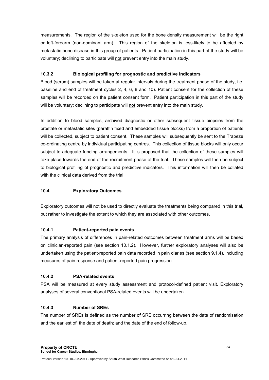measurements. The region of the skeleton used for the bone density measurement will be the right or left-forearm (non-dominant arm). This region of the skeleton is less-likely to be affected by metastatic bone disease in this group of patients. Patient participation in this part of the study will be voluntary; declining to participate will not prevent entry into the main study.

## **10.3.2 Biological profiling for prognostic and predictive indicators**

Blood (serum) samples will be taken at regular intervals during the treatment phase of the study, i.e. baseline and end of treatment cycles 2, 4, 6, 8 and 10). Patient consent for the collection of these samples will be recorded on the patient consent form. Patient participation in this part of the study will be voluntary; declining to participate will not prevent entry into the main study.

In addition to blood samples, archived diagnostic or other subsequent tissue biopsies from the prostate or metastatic sites (paraffin fixed and embedded tissue blocks) from a proportion of patients will be collected, subject to patient consent. These samples will subsequently be sent to the Trapeze co-ordinating centre by individual participating centres. This collection of tissue blocks will only occur subject to adequate funding arrangements. It is proposed that the collection of these samples will take place towards the end of the recruitment phase of the trial. These samples will then be subject to biological profiling of prognostic and predictive indicators. This information will then be collated with the clinical data derived from the trial.

### **10.4 Exploratory Outcomes**

Exploratory outcomes will not be used to directly evaluate the treatments being compared in this trial, but rather to investigate the extent to which they are associated with other outcomes.

### **10.4.1 Patient-reported pain events**

The primary analysis of differences in pain-related outcomes between treatment arms will be based on clinician-reported pain (see section 10.1.2). However, further exploratory analyses will also be undertaken using the patient-reported pain data recorded in pain diaries (see section 9.1.4), including measures of pain response and patient-reported pain progression.

### **10.4.2 PSA-related events**

PSA will be measured at every study assessment and protocol-defined patient visit. Exploratory analyses of several conventional PSA-related events will be undertaken.

### **10.4.3 Number of SREs**

The number of SREs is defined as the number of SRE occurring between the date of randomisation and the earliest of: the date of death; and the date of the end of follow-up.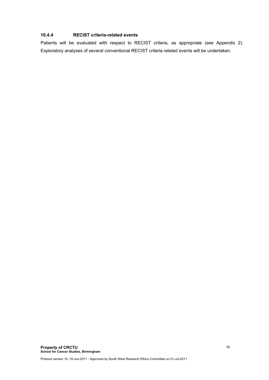# **10.4.4 RECIST criteria-related events**

Patients will be evaluated with respect to RECIST criteria, as appropriate (see Appendix 2). Exploratory analyses of several conventional RECIST criteria related events will be undertaken.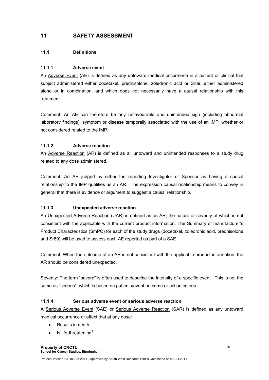# **11 SAFETY ASSESSMENT**

## **11.1 Definitions**

## **11.1.1 Adverse event**

An Adverse Event (AE) is defined as any untoward medical occurrence in a patient or clinical trial subject administered either docetaxel, prednisolone, zoledronic acid or Sr89, either administered alone or in combination, and which does not necessarily have a causal relationship with this treatment.

Comment: An AE can therefore be any unfavourable and unintended sign (including abnormal laboratory findings), symptom or disease temporally associated with the use of an IMP, whether or not considered related to the IMP.

## **11.1.2 Adverse reaction**

An Adverse Reaction (AR) is defined as all untoward and unintended responses to a study drug related to any dose administered.

Comment*:* An AE judged by either the reporting Investigator or Sponsor as having a causal relationship to the IMP qualifies as an AR. The expression causal relationship means to convey in general that there is evidence or argument to suggest a causal relationship.

### **11.1.3 Unexpected adverse reaction**

An Unexpected Adverse Reaction (UAR) is defined as an AR, the nature or severity of which is not consistent with the applicable with the current product information. The Summary of manufacturer's Product Characteristics (SmPC) for each of the study drugs (docetaxel, zoledronic acid, prednisolone and Sr89) will be used to assess each AE reported as part of a SAE.

Comment: When the outcome of an AR is not consistent with the applicable product information, the AR should be considered unexpected.

Severity: The term "severe" is often used to describe the intensity of a specific event. This is not the same as "serious", which is based on patients/event outcome or action criteria.

### **11.1.4 Serious adverse event or serious adverse reaction**

A Serious Adverse Event (SAE) or Serious Adverse Reaction (SAR) is defined as any untoward medical occurrence or affect that at any dose:

- Results in death
- Is life-threatening<sup>1</sup>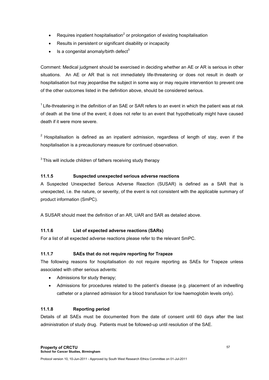- Requires inpatient hospitalisation<sup>2</sup> or prolongation of existing hospitalisation
- Results in persistent or significant disability or incapacity
- Is a congenital anomaly/birth defect $3$

Comment: Medical judgment should be exercised in deciding whether an AE or AR is serious in other situations. An AE or AR that is not immediately life-threatening or does not result in death or hospitalisation but may jeopardise the subject in some way or may require intervention to prevent one of the other outcomes listed in the definition above, should be considered serious.

 $1$  Life-threatening in the definition of an SAE or SAR refers to an event in which the patient was at risk of death at the time of the event; it does not refer to an event that hypothetically might have caused death if it were more severe.

 $2$  Hospitalisation is defined as an inpatient admission, regardless of length of stay, even if the hospitalisation is a precautionary measure for continued observation.

 $3$  This will include children of fathers receiving study therapy

# **11.1.5 Suspected unexpected serious adverse reactions**

A Suspected Unexpected Serious Adverse Reaction (SUSAR) is defined as a SAR that is unexpected, i.e. the nature, or severity, of the event is not consistent with the applicable summary of product information (SmPC).

A SUSAR should meet the definition of an AR, UAR and SAR as detailed above.

# **11.1.6 List of expected adverse reactions (SARs)**

For a list of all expected adverse reactions please refer to the relevant SmPC.

# **11.1.7 SAEs that do not require reporting for Trapeze**

The following reasons for hospitalisation do not require reporting as SAEs for Trapeze unless associated with other serious advents:

- Admissions for study therapy;
- Admissions for procedures related to the patient's disease (e.g. placement of an indwelling catheter or a planned admission for a blood transfusion for low haemoglobin levels only).

# **11.1.8 Reporting period**

Details of all SAEs must be documented from the date of consent until 60 days after the last administration of study drug. Patients must be followed-up until resolution of the SAE.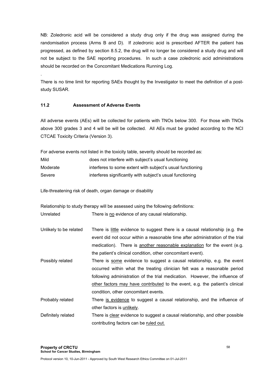NB: Zoledronic acid will be considered a study drug only if the drug was assigned during the randomisation process (Arms B and D). If zoledronic acid is prescribed AFTER the patient has progressed, as defined by section 8.5.2, the drug will no longer be considered a study drug and will not be subject to the SAE reporting procedures. In such a case zoledronic acid administrations should be recorded on the Concomitant Medications Running Log.

There is no time limit for reporting SAEs thought by the Investigator to meet the definition of a poststudy SUSAR.

### **11.2 Assessment of Adverse Events**

.

All adverse events (AEs) will be collected for patients with TNOs below 300. For those with TNOs above 300 grades 3 and 4 will be will be collected. All AEs must be graded according to the NCI CTCAE Toxicity Criteria (Version 3).

| For adverse events not listed in the toxicity table, severity should be recorded as: |                                                            |  |
|--------------------------------------------------------------------------------------|------------------------------------------------------------|--|
| Mild                                                                                 | does not interfere with subject's usual functioning        |  |
| Moderate                                                                             | interferes to some extent with subject's usual functioning |  |
| Severe                                                                               | interferes significantly with subject's usual functioning  |  |

Life-threatening risk of death, organ damage or disability

Relationship to study therapy will be assessed using the following definitions: Unrelated There is no evidence of any causal relationship.

- Unlikely to be related There is little evidence to suggest there is a causal relationship (e.g. the event did not occur within a reasonable time after administration of the trial medication). There is another reasonable explanation for the event (e.g. the patient's clinical condition, other concomitant event).
- Possibly related There is some evidence to suggest a causal relationship, e.g. the event occurred within what the treating clinician felt was a reasonable period following administration of the trial medication. However, the influence of other factors may have contributed to the event, e.g. the patient's clinical condition, other concomitant events.
- Probably related There is evidence to suggest a causal relationship, and the influence of other factors is unlikely.
- Definitely related There is clear evidence to suggest a causal relationship, and other possible contributing factors can be ruled out.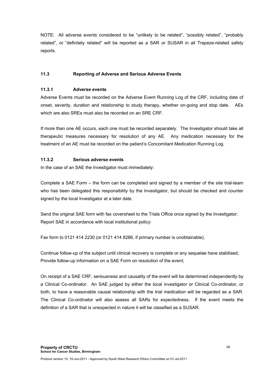NOTE: All adverse events considered to be "unlikely to be related", "possibly related", "probably related", or "definitely related" will be reported as a SAR or SUSAR in all Trapeze-related safety reports.

## **11.3 Reporting of Adverse and Serious Adverse Events**

### **11.3.1 Adverse events**

Adverse Events must be recorded on the Adverse Event Running Log of the CRF, including date of onset, severity, duration and relationship to study therapy, whether on-going and stop date. AEs which are also SREs must also be recorded on an SRE CRF.

If more than one AE occurs, each one must be recorded separately. The Investigator should take all therapeutic measures necessary for resolution of any AE. Any medication necessary for the treatment of an AE must be recorded on the patient's Concomitant Medication Running Log.

### **11.3.2 Serious adverse events**

In the case of an SAE the Investigator must immediately:

Complete a SAE Form – the form can be completed and signed by a member of the site trial-team who has been delegated this responsibility by the Investigator, but should be checked and counter signed by the local Investigator at a later date.

Send the original SAE form with fax coversheet to the Trials Office once signed by the Investigator; Report SAE in accordance with local institutional policy:

Fax form to 0121 414 2230 (or 0121 414 8286, if primary number is unobtainable).

Continue follow-up of the subject until clinical recovery is complete or any sequelae have stabilised; Provide follow-up information on a SAE Form on resolution of the event;

On receipt of a SAE CRF, seriousness and causality of the event will be determined independently by a Clinical Co-ordinator. An SAE judged by either the local investigator or Clinical Co-ordinator, or both, to have a reasonable causal relationship with the trial medication will be regarded as a SAR. The Clinical Co-ordinator will also assess all SARs for expectedness. If the event meets the definition of a SAR that is unexpected in nature it will be classified as a SUSAR.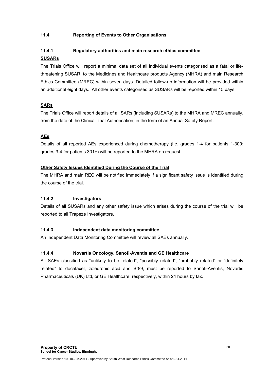## **11.4 Reporting of Events to Other Organisations**

## **11.4.1 Regulatory authorities and main research ethics committee**

## **SUSARs**

The Trials Office will report a minimal data set of all individual events categorised as a fatal or lifethreatening SUSAR, to the Medicines and Healthcare products Agency (MHRA) and main Research Ethics Committee (MREC) within seven days. Detailed follow-up information will be provided within an additional eight days. All other events categorised as SUSARs will be reported within 15 days.

## **SARs**

The Trials Office will report details of all SARs (including SUSARs) to the MHRA and MREC annually, from the date of the Clinical Trial Authorisation, in the form of an Annual Safety Report.

# **AEs**

Details of all reported AEs experienced during chemotherapy (i.e. grades 1-4 for patients 1-300; grades 3-4 for patients 301+) will be reported to the MHRA on request.

# **Other Safety Issues Identified During the Course of the Trial**

The MHRA and main REC will be notified immediately if a significant safety issue is identified during the course of the trial.

### **11.4.2 Investigators**

Details of all SUSARs and any other safety issue which arises during the course of the trial will be reported to all Trapeze Investigators.

### **11.4.3 Independent data monitoring committee**

An Independent Data Monitoring Committee will review all SAEs annually.

### **11.4.4 Novartis Oncology, Sanofi-Aventis and GE Healthcare**

All SAEs classified as "unlikely to be related", "possibly related", "probably related" or "definitely related" to docetaxel, zoledronic acid and Sr89, must be reported to Sanofi-Aventis, Novartis Pharmaceuticals (UK) Ltd, or GE Healthcare, respectively, within 24 hours by fax.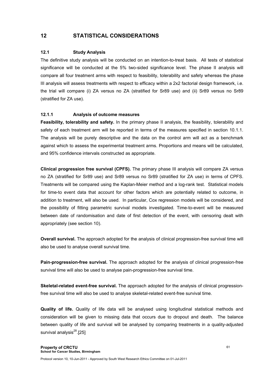# **12 STATISTICAL CONSIDERATIONS**

### **12.1 Study Analysis**

The definitive study analysis will be conducted on an intention-to-treat basis. All tests of statistical significance will be conducted at the 5% two-sided significance level. The phase II analysis will compare all four treatment arms with respect to feasibility, tolerability and safety whereas the phase III analysis will assess treatments with respect to efficacy within a 2x2 factorial design framework, i.e. the trial will compare (i) ZA versus no ZA (stratified for Sr89 use) and (ii) Sr89 versus no Sr89 (stratified for ZA use).

### **12.1.1 Analysis of outcome measures**

**Feasibility, tolerability and safety.** In the primary phase II analysis, the feasibility, tolerability and safety of each treatment arm will be reported in terms of the measures specified in section 10.1.1. The analysis will be purely descriptive and the data on the control arm will act as a benchmark against which to assess the experimental treatment arms. Proportions and means will be calculated, and 95% confidence intervals constructed as appropriate.

**Clinical progression free survival (CPFS).** The primary phase III analysis will compare ZA versus no ZA (stratified for Sr89 use) and Sr89 versus no Sr89 (stratified for ZA use) in terms of CPFS. Treatments will be compared using the Kaplan-Meier method and a log-rank test. Statistical models for time-to event data that account for other factors which are potentially related to outcome, in addition to treatment, will also be used. In particular, Cox regression models will be considered, and the possibility of fitting parametric survival models investigated. Time-to-event will be measured between date of randomisation and date of first detection of the event, with censoring dealt with appropriately (see section 10).

**Overall survival.** The approach adopted for the analysis of clinical progression-free survival time will also be used to analyse overall survival time.

**Pain-progression-free survival.** The approach adopted for the analysis of clinical progression-free survival time will also be used to analyse pain-progression-free survival time.

**Skeletal-related event-free survival.** The approach adopted for the analysis of clinical progressionfree survival time will also be used to analyse skeletal-related event-free survival time.

**Quality of life.** Quality of life data will be analysed using longitudinal statistical methods and consideration will be given to missing data that occurs due to dropout and death. The balance between quality of life and survival will be analysed by comparing treatments in a quality-adjusted survival analysis $^{28}$ .[25]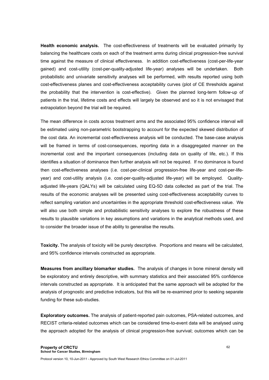**Health economic analysis.** The cost-effectiveness of treatments will be evaluated primarily by balancing the healthcare costs on each of the treatment arms during clinical progression-free survival time against the measure of clinical effectiveness. In addition cost-effectiveness (cost-per-life-year gained) and cost-utility (cost-per-quality-adjusted life-year) analyses will be undertaken. Both probabilistic and univariate sensitivity analyses will be performed, with results reported using both cost-effectiveness planes and cost-effectiveness acceptability curves (plot of CE thresholds against the probability that the intervention is cost-effective). Given the planned long-term follow-up of patients in the trial, lifetime costs and effects will largely be observed and so it is not envisaged that extrapolation beyond the trial will be required.

The mean difference in costs across treatment arms and the associated 95% confidence interval will be estimated using non-parametric bootstrapping to account for the expected skewed distribution of the cost data. An incremental cost-effectiveness analysis will be conducted. The base-case analysis will be framed in terms of cost-consequences, reporting data in a disaggregated manner on the incremental cost and the important consequences (including data on quality of life, etc.). If this identifies a situation of dominance then further analysis will not be required. If no dominance is found then cost-effectiveness analyses (i.e. cost-per-clinical progression-free life-year and cost-per-lifeyear) and cost-utility analysis (i.e. cost-per-quality-adjusted life-year) will be employed. Qualityadjusted life-years (QALYs) will be calculated using EQ-5D data collected as part of the trial. The results of the economic analyses will be presented using cost-effectiveness acceptability curves to reflect sampling variation and uncertainties in the appropriate threshold cost-effectiveness value. We will also use both simple and probabilistic sensitivity analyses to explore the robustness of these results to plausible variations in key assumptions and variations in the analytical methods used, and to consider the broader issue of the ability to generalise the results.

**Toxicity.** The analysis of toxicity will be purely descriptive. Proportions and means will be calculated, and 95% confidence intervals constructed as appropriate.

**Measures from ancillary biomarker studies.** The analysis of changes in bone mineral density will be exploratory and entirely descriptive, with summary statistics and their associated 95% confidence intervals constructed as appropriate. It is anticipated that the same approach will be adopted for the analysis of prognostic and predictive indicators, but this will be re-examined prior to seeking separate funding for these sub-studies.

**Exploratory outcomes.** The analysis of patient-reported pain outcomes, PSA-related outcomes, and RECIST criteria-related outcomes which can be considered time-to-event data will be analysed using the approach adopted for the analysis of clinical progression-free survival; outcomes which can be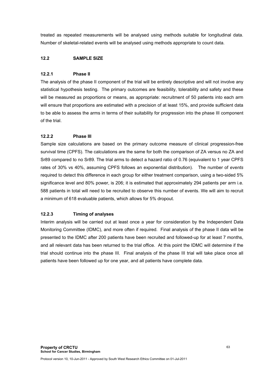treated as repeated measurements will be analysed using methods suitable for longitudinal data. Number of skeletal-related events will be analysed using methods appropriate to count data.

### **12.2 SAMPLE SIZE**

### **12.2.1 Phase II**

The analysis of the phase II component of the trial will be entirely descriptive and will not involve any statistical hypothesis testing. The primary outcomes are feasibility, tolerability and safety and these will be measured as proportions or means, as appropriate: recruitment of 50 patients into each arm will ensure that proportions are estimated with a precision of at least 15%, and provide sufficient data to be able to assess the arms in terms of their suitability for progression into the phase III component of the trial.

### **12.2.2 Phase III**

Sample size calculations are based on the primary outcome measure of clinical progression-free survival time (CPFS). The calculations are the same for both the comparison of ZA versus no ZA and Sr89 compared to no Sr89. The trial arms to detect a hazard ratio of 0.76 (equivalent to 1 year CPFS rates of 30% vs 40%, assuming CPFS follows an exponential distribution). The number of *events* required to detect this difference in each group for either treatment comparison, using a two-sided 5% significance level and 80% power, is 206; it is estimated that approximately 294 patients per arm i.e. 588 patients in total will need to be recruited to observe this number of events. We will aim to recruit a minimum of 618 evaluable patients, which allows for 5% dropout.

### **12.2.3 Timing of analyses**

Interim analysis will be carried out at least once a year for consideration by the Independent Data Monitoring Committee (IDMC), and more often if required. Final analysis of the phase II data will be presented to the IDMC after 200 patients have been recruited and followed-up for at least 7 months, and all relevant data has been returned to the trial office. At this point the IDMC will determine if the trial should continue into the phase III. Final analysis of the phase III trial will take place once all patients have been followed up for one year, and all patients have complete data.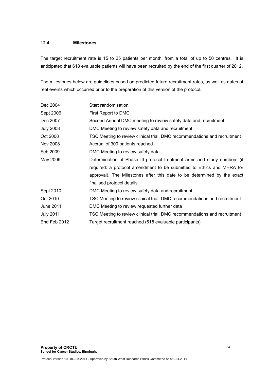# **12.4 Milestones**

The target recruitment rate is 15 to 25 patients per month, from a total of up to 50 centres. It is anticipated that 618 evaluable patients will have been recruited by the end of the first quarter of 2012.

The milestones below are guidelines based on predicted future recruitment rates, as well as dates of real events which occurred prior to the preparation of this version of the protocol.

| Dec 2004         | Start randomisation                                                       |
|------------------|---------------------------------------------------------------------------|
| Sept 2006        | First Report to DMC                                                       |
| Dec 2007         | Second Annual DMC meeting to review safety data and recruitment           |
| <b>July 2008</b> | DMC Meeting to review safety data and recruitment                         |
| Oct 2008         | TSC Meeting to review clinical trial, DMC recommendations and recruitment |
| Nov 2008         | Accrual of 300 patients reached                                           |
| Feb 2009         | DMC Meeting to review safety data                                         |
| May 2009         | Determination of Phase III protocol treatment arms and study numbers (if  |
|                  | required: a protocol amendment to be submitted to Ethics and MHRA for     |
|                  | approval). The Milestones after this date to be determined by the exact   |
|                  | finalised protocol details.                                               |
| Sept 2010        | DMC Meeting to review safety data and recruitment                         |
| Oct 2010         | TSC Meeting to review clinical trial, DMC recommendations and recruitment |
| June 2011        | DMC Meeting to review requested further data                              |
| <b>July 2011</b> | TSC Meeting to review clinical trial, DMC recommendations and recruitment |
| End Feb 2012     | Target recruitment reached (618 evaluable participants)                   |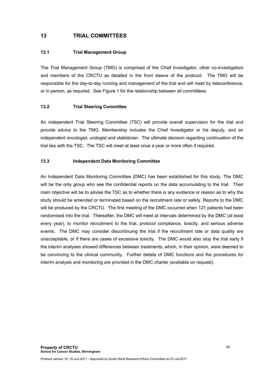# **13 TRIAL COMMITTEES**

### **13.1 Trial Management Group**

The Trial Management Group (TMG) is comprised of the Chief Investigator, other co-investigators and members of the CRCTU as detailed in the front sleeve of the protocol. The TMG will be responsible for the day-to-day running and management of the trial and will meet by teleconference, or in person, as required. See Figure 1 for the relationship between all committees.

### **13.2 Trial Steering Committee**

An independent Trial Steering Committee (TSC) will provide overall supervision for the trial and provide advice to the TMG. Membership includes the Chief Investigator or his deputy, and an independent oncologist, urologist and statistician. The ultimate decision regarding continuation of the trial lies with the TSC. The TSC will meet at least once a year or more often if required.

### **13.3 Independent Data Monitoring Committee**

An Independent Data Monitoring Committee (DMC) has been established for this study. The DMC will be the only group who see the confidential reports on the data accumulating to the trial. Their main objective will be to advise the TSC as to whether there is any evidence or reason as to why the study should be amended or terminated based on the recruitment rate or safety. Reports to the DMC will be produced by the CRCTU. The first meeting of the DMC occurred when 121 patients had been randomised into the trial. Thereafter, the DMC will meet at intervals determined by the DMC (at least every year), to monitor recruitment to the trial, protocol compliance, toxicity, and serious adverse events. The DMC may consider discontinuing the trial if the recruitment rate or data quality are unacceptable, or if there are cases of excessive toxicity. The DMC would also stop the trial early if the interim analyses showed differences between treatments, which, in their opinion, were deemed to be convincing to the clinical community. Further details of DMC functions and the procedures for interim analysis and monitoring are provided in the DMC charter (available on request).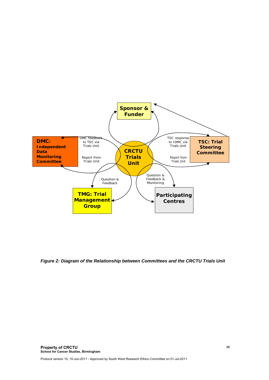

*Figure 2: Diagram of the Relationship between Committees and the CRCTU Trials Unit*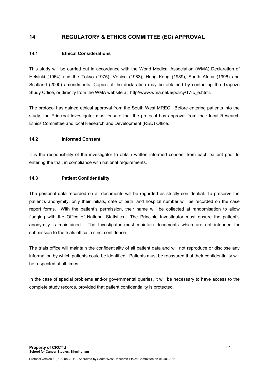# **14 REGULATORY & ETHICS COMMITTEE (EC) APPROVAL**

## **14.1 Ethical Considerations**

This study will be carried out in accordance with the World Medical Association (WMA) Declaration of Helsinki (1964) and the Tokyo (1975), Venice (1983), Hong Kong (1989), South Africa (1996) and Scotland (2000) amendments. Copies of the declaration may be obtained by contacting the Trapeze Study Office, or directly from the WMA website at http//www.wma.net/e/policy/17-c\_e.html.

The protocol has gained ethical approval from the South West MREC. Before entering patients into the study, the Principal Investigator must ensure that the protocol has approval from their local Research Ethics Committee and local Research and Development (R&D) Office.

### **14.2 Informed Consent**

It is the responsibility of the investigator to obtain written informed consent from each patient prior to entering the trial, in compliance with national requirements.

## **14.3 Patient Confidentiality**

The personal data recorded on all documents will be regarded as strictly confidential. To preserve the patient's anonymity, only their initials, date of birth, and hospital number will be recorded on the case report forms. With the patient's permission, their name will be collected at randomisation to allow flagging with the Office of National Statistics. The Principle Investigator must ensure the patient's anonymity is maintained. The Investigator must maintain documents which are not intended for submission to the trials office in strict confidence.

The trials office will maintain the confidentiality of all patient data and will not reproduce or disclose any information by which patients could be identified. Patients must be reassured that their confidentiality will be respected at all times.

In the case of special problems and/or governmental queries, it will be necessary to have access to the complete study records, provided that patient confidentiality is protected.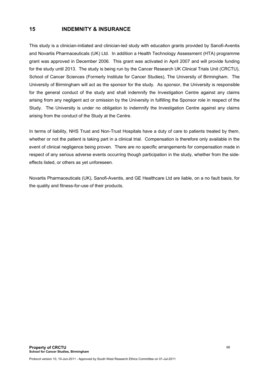## **15 INDEMNITY & INSURANCE**

This study is a clinician-initiated and clinician-led study with education grants provided by Sanofi-Aventis and Novartis Pharmaceuticals (UK) Ltd. In addition a Health Technology Assessment (HTA) programme grant was approved in December 2006. This grant was activated in April 2007 and will provide funding for the study until 2013. The study is being run by the Cancer Research UK Clinical Trials Unit (CRCTU), School of Cancer Sciences (Formerly Institute for Cancer Studies), The University of Birmingham. The University of Birmingham will act as the sponsor for the study. As sponsor, the University is responsible for the general conduct of the study and shall indemnify the Investigation Centre against any claims arising from any negligent act or omission by the University in fulfilling the Sponsor role in respect of the Study. The University is under no obligation to indemnify the Investigation Centre against any claims arising from the conduct of the Study at the Centre.

In terms of liability, NHS Trust and Non-Trust Hospitals have a duty of care to patients treated by them, whether or not the patient is taking part in a clinical trial. Compensation is therefore only available in the event of clinical negligence being proven. There are no specific arrangements for compensation made in respect of any serious adverse events occurring though participation in the study, whether from the sideeffects listed, or others as yet unforeseen.

Novartis Pharmaceuticals (UK), Sanofi-Aventis, and GE Healthcare Ltd are liable, on a no fault basis, for the quality and fitness-for-use of their products.

Protocol version 10, 10-Jun-2011 - Approved by South West Research Ethics Committee on 01-Jul-2011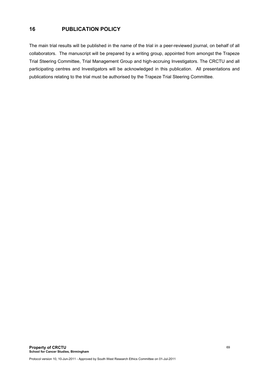# **16 PUBLICATION POLICY**

The main trial results will be published in the name of the trial in a peer-reviewed journal, on behalf of all collaborators. The manuscript will be prepared by a writing group, appointed from amongst the Trapeze Trial Steering Committee, Trial Management Group and high-accruing Investigators. The CRCTU and all participating centres and Investigators will be acknowledged in this publication. All presentations and publications relating to the trial must be authorised by the Trapeze Trial Steering Committee.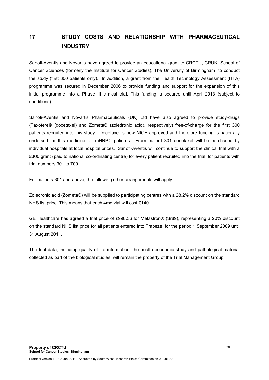# **17 STUDY COSTS AND RELATIONSHIP WITH PHARMACEUTICAL INDUSTRY**

Sanofi-Aventis and Novartis have agreed to provide an educational grant to CRCTU, CRUK, School of Cancer Sciences (formerly the Institute for Cancer Studies), The University of Birmingham, to conduct the study (first 300 patients only). In addition, a grant from the Health Technology Assessment (HTA) programme was secured in December 2006 to provide funding and support for the expansion of this initial programme into a Phase III clinical trial. This funding is secured until April 2013 (subject to conditions).

Sanofi-Aventis and Novartis Pharmaceuticals (UK) Ltd have also agreed to provide study-drugs (Taxotere® (docetaxel) and Zometa® (zoledronic acid), respectively) free-of-charge for the first 300 patients recruited into this study. Docetaxel is now NICE approved and therefore funding is nationally endorsed for this medicine for mHRPC patients. From patient 301 docetaxel will be purchased by individual hospitals at local hospital prices. Sanofi-Aventis will continue to support the clinical trial with a £300 grant (paid to national co-ordinating centre) for every patient recruited into the trial, for patients with trial numbers 301 to 700.

For patients 301 and above, the following other arrangements will apply:

Zoledronic acid (Zometa®) will be supplied to participating centres with a 28.2% discount on the standard NHS list price. This means that each 4mg vial will cost £140.

GE Healthcare has agreed a trial price of £998.36 for Metastron® (Sr89), representing a 20% discount on the standard NHS list price for all patients entered into Trapeze, for the period 1 September 2009 until 31 August 2011.

The trial data, including quality of life information, the health economic study and pathological material collected as part of the biological studies, will remain the property of the Trial Management Group.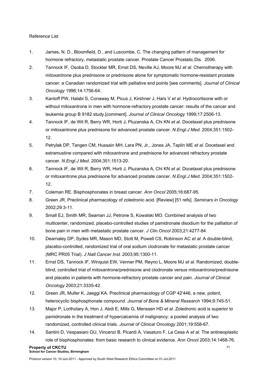## Reference List

- 1. James, N. D., Bloomfield, D., and Luscombe, C. The changing pattern of management for hormone refractory, metastatic prostate cancer. Prostate Cancer Prostatic.Dis. 2006.
- 2. Tannock IF, Osoba D, Stockler MR, Ernst DS, Neville AJ, Moore MJ *et al*. Chemotherapy with mitoxantrone plus prednisone or prednisone alone for symptomatic hormone-resistant prostate cancer: a Canadian randomized trial with palliative end points [see comments]. *Journal of Clinical Oncology* 1996;14:1756-64.
- 3. Kantoff PW, Halabi S, Conaway M, Picus J, Kirshner J, Hars V *et al*. Hydrocortisone with or without mitoxantrone in men with hormone-refractory prostate cancer: results of the cancer and leukemia group B 9182 study.[comment]. *Journal of Clinical Oncology* 1999;17:2506-13.
- 4. Tannock IF, de Wit R, Berry WR, Horti J, Pluzanska A, Chi KN *et al*. Docetaxel plus prednisone or mitoxantrone plus prednisone for advanced prostate cancer. *N.Engl.J Med.* 2004;351:1502- 12.
- 5. Petrylak DP, Tangen CM, Hussain MH, Lara PN, Jr., Jones JA, Taplin ME *et al*. Docetaxel and estramustine compared with mitoxantrone and prednisone for advanced refractory prostate cancer. *N.Engl.J Med.* 2004;351:1513-20.
- 6. Tannock IF, de Wit R, Berry WR, Horti J, Pluzanska A, Chi KN *et al*. Docetaxel plus prednisone or mitoxantrone plus prednisone for advanced prostate cancer. *N.Engl.J Med.* 2004;351:1502- 12.
- 7. Coleman RE. Bisphosphonates in breast cancer. *Ann Oncol* 2005;16:687-95.
- 8. Green JR. Preclinical pharmacology of zoledronic acid. [Review] [51 refs]. *Seminars in Oncology* 2002;29:3-11.
- 9. Small EJ, Smith MR, Seaman JJ, Petrone S, Kowalski MO. Combined analysis of two multicenter, randomized, placebo-controlled studies of pamidronate disodium for the palliation of bone pain in men with metastatic prostate cancer. *J Clin.Oncol* 2003;21:4277-84.
- 10. Dearnaley DP, Sydes MR, Mason MD, Stott M, Powell CS, Robinson AC *et al*. A double-blind, placebo-controlled, randomized trial of oral sodium clodronate for metastatic prostate cancer (MRC PR05 Trial). *J Natl.Cancer Inst.* 2003;95:1300-11.
- 11. Ernst DS, Tannock IF, Winquist EW, Venner PM, Reyno L, Moore MJ *et al*. Randomized, doubleblind, controlled trial of mitoxantrone/prednisone and clodronate versus mitoxantrone/prednisone and placebo in patients with hormone-refractory prostate cancer and pain. *Journal of Clinical Oncology* 2003;21:3335-42.
- 12. Green JR, Muller K, Jaeggi KA. Preclinical pharmacology of CGP 42'446, a new, potent, heterocyclic bisphosphonate compound. *Journal of Bone & Mineral Research* 1994;9:745-51.
- 13. Major P, Lortholary A, Hon J, Abdi E, Mills G, Menssen HD *et al*. Zoledronic acid is superior to pamidronate in the treatment of hypercalcemia of malignancy: a pooled analysis of two randomized, controlled clinical trials. *Journal of Clinical Oncology* 2001;19:558-67.
- 14. Santini D, Vespasiani GU, Vincenzi B, Picardi A, Vasaturo F, La Cesa A *et al*. The antineoplastic role of bisphosphonates: from basic research to clinical evidence. *Ann Oncol* 2003;14:1468-76.

#### **Property of CRCTU School for Cancer Studies, Birmingham**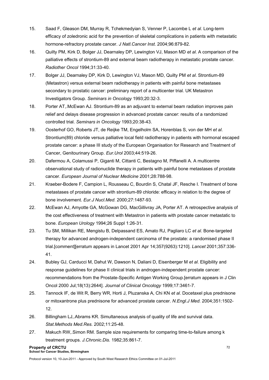- 15. Saad F, Gleason DM, Murray R, Tchekmedyian S, Venner P, Lacombe L *et al*. Long-term efficacy of zoledronic acid for the prevention of skeletal complications in patients with metastatic hormone-refractory prostate cancer. *J Natl.Cancer Inst.* 2004;96:879-82.
- 16. Quilty PM, Kirk D, Bolger JJ, Dearnaley DP, Lewington VJ, Mason MD *et al*. A comparison of the palliative effects of strontium-89 and external beam radiotherapy in metastatic prostate cancer. *Radiother Oncol* 1994;31:33-40.
- 17. Bolger JJ, Dearnaley DP, Kirk D, Lewington VJ, Mason MD, Quilty PM *et al*. Strontium-89 (Metastron) versus external beam radiotherapy in patients with painful bone metastases secondary to prostatic cancer: preliminary report of a multicenter trial. UK Metastron Investigators Group. *Seminars in Oncology* 1993;20:32-3.
- 18. Porter AT,.McEwan AJ. Strontium-89 as an adjuvant to external beam radiation improves pain relief and delays disease progression in advanced prostate cancer: results of a randomized controlled trial. *Seminars in Oncology* 1993;20:38-43.
- 19. Oosterhof GO, Roberts JT, de Reijke TM, Engelholm SA, Horenblas S, von der MH *et al*. Strontium(89) chloride versus palliative local field radiotherapy in patients with hormonal escaped prostate cancer: a phase III study of the European Organisation for Research and Treatment of Cancer, Genitourinary Group. *Eur.Urol* 2003;44:519-26.
- 20. Dafermou A, Colamussi P, Giganti M, Cittanti C, Bestagno M, Piffanelli A. A multicentre observational study of radionuclide therapy in patients with painful bone metastases of prostate cancer. *European Journal of Nuclear Medicine* 2001;28:788-98.
- 21. Kraeber-Bodere F, Campion L, Rousseau C, Bourdin S, Chatal JF, Resche I. Treatment of bone metastases of prostate cancer with strontium-89 chloride: efficacy in relation to the degree of bone involvement. *Eur.J Nucl.Med.* 2000;27:1487-93.
- 22. McEwan AJ, Amyotte GA, McGowan DG, MacGillivray JA, Porter AT. A retrospective analysis of the cost effectiveness of treatment with Metastron in patients with prostate cancer metastatic to bone. *European Urology* 1994;26 Suppl 1:26-31.
- 23. Tu SM, Millikan RE, Mengistu B, Delpassand ES, Amato RJ, Pagliaro LC *et al*. Bone-targeted therapy for advanced androgen-independent carcinoma of the prostate: a randomised phase II trial.[comment][erratum appears in Lancet 2001 Apr 14;357(9263):1210]. *Lancet* 2001;357:336- 41.
- 24. Bubley GJ, Carducci M, Dahut W, Dawson N, Daliani D, Eisenberger M *et al*. Eligibility and response guidelines for phase II clinical trials in androgen-independent prostate cancer: recommendations from the Prostate-Specific Antigen Working Group.[erratum appears in J Clin Oncol 2000 Jul;18(13):2644]. *Journal of Clinical Oncology* 1999;17:3461-7.
- 25. Tannock IF, de Wit R, Berry WR, Horti J, Pluzanska A, Chi KN *et al*. Docetaxel plus prednisone or mitoxantrone plus prednisone for advanced prostate cancer. *N.Engl.J Med.* 2004;351:1502- 12.
- 26. Billingham LJ,.Abrams KR. Simultaneous analysis of quality of life and survival data. *Stat.Methods Med.Res.* 2002;11:25-48.
- 27. Makuch RW,.Simon RM. Sample size requirements for comparing time-to-failure among k treatment groups. *J.Chronic.Dis.* 1982;35:861-7.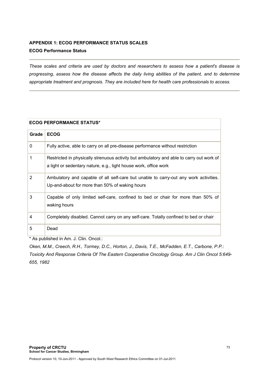# **APPENDIX 1: ECOG PERFORMANCE STATUS SCALES ECOG Performance Status**

*These scales and criteria are used by doctors and researchers to assess how a patient's disease is progressing, assess how the disease affects the daily living abilities of the patient, and to determine appropriate treatment and prognosis. They are included here for health care professionals to access.*

# **ECOG PERFORMANCE STATUS\***

| Grade          | <b>ECOG</b>                                                                                                                                                  |
|----------------|--------------------------------------------------------------------------------------------------------------------------------------------------------------|
| $\mathbf{0}$   | Fully active, able to carry on all pre-disease performance without restriction                                                                               |
| 1              | Restricted in physically strenuous activity but ambulatory and able to carry out work of<br>a light or sedentary nature, e.g., light house work, office work |
| $\overline{2}$ | Ambulatory and capable of all self-care but unable to carry-out any work activities.<br>Up-and-about for more than 50% of waking hours                       |
| 3              | Capable of only limited self-care, confined to bed or chair for more than 50% of<br>waking hours                                                             |
| 4              | Completely disabled. Cannot carry on any self-care. Totally confined to bed or chair                                                                         |
| 5              | Dead                                                                                                                                                         |

\* As published in Am. J. Clin. Oncol.:

*Oken, M.M., Creech, R.H., Tormey, D.C., Horton, J., Davis, T.E., McFadden, E.T., Carbone, P.P.: Toxicity And Response Criteria Of The Eastern Cooperative Oncology Group. Am J Clin Oncol 5:649- 655, 1982*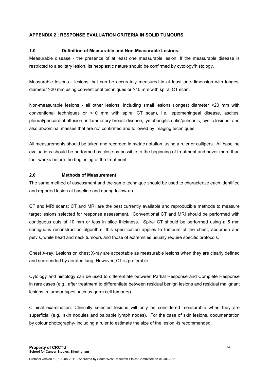## **APPENDIX 2 ; RESPONSE EVALUATION CRITERIA IN SOLID TUMOURS**

## **1.0 Definition of Measurable and Non-Measurable Lesions.**

Measurable disease - the presence of at least one measurable lesion. If the measurable disease is restricted to a solitary lesion, its neoplastic nature should be confirmed by cytology/histology.

Measurable lesions - lesions that can be accurately measured in at least one-dimension with longest diameter >20 mm using conventional techniques or >10 mm with spiral CT scan.

Non-measurable lesions - all other lesions, including small lesions (longest diameter <20 mm with conventional techniques or <10 mm with spiral CT scan), i.e. leptomeningeal disease, ascites, pleural/pericardial effusion, inflammatory breast disease, lymphangitis cutis/pulmonis, cystic lesions, and also abdominal masses that are not confirmed and followed by imaging techniques.

All measurements should be taken and recorded in metric notation, using a ruler or callipers. All baseline evaluations should be performed as close as possible to the beginning of treatment and never more than four weeks before the beginning of the treatment.

#### **2.0 Methods of Measurement**

The same method of assessment and the same technique should be used to characterize each identified and reported lesion at baseline and during follow-up.

CT and MRI scans: CT and MRI are the best currently available and reproducible methods to measure target lesions selected for response assessment. Conventional CT and MRI should be performed with contiguous cuts of 10 mm or less in slice thickness. Spiral CT should be performed using a 5 mm contiguous reconstruction algorithm; this specification applies to tumours of the chest, abdomen and pelvis, while head and neck tumours and those of extremities usually require specific protocols.

Chest X-ray. Lesions on chest X-ray are acceptable as measurable lesions when they are clearly defined and surrounded by aerated lung. However, CT is preferable.

Cytology and histology can be used to differentiate between Partial Response and Complete Response in rare cases (e.g., after treatment to differentiate between residual benign lesions and residual malignant lesions in tumour types such as germ cell tumours).

Clinical examination: Clinically selected lesions will only be considered measurable when they are superficial (e.g., skin nodules and palpable lymph nodes). For the case of skin lesions, documentation by colour photography- including a ruler to estimate the size of the lesion -is recommended.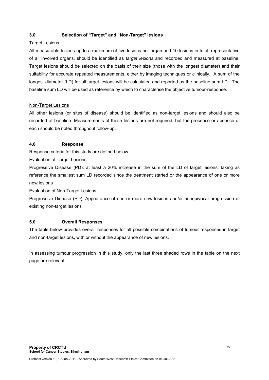## **3.0 Selection of "Target" and "Non-Target" lesions**

## Target Lesions

All measurable lesions up to a maximum of five lesions per organ and 10 lesions in total, representative of all involved organs, should be identified as *target lesions* and recorded and measured at baseline. Target lesions should be selected on the basis of their size (those with the longest diameter) and their suitability for accurate repeated measurements, either by imaging techniques or clinically. A sum of the longest diameter (LD) for all target lesions will be calculated and reported as the baseline sum LD. The baseline sum LD will be used as reference by which to characterise the objective tumour-response.

## Non-Target Lesions

All other lesions (or sites of disease) should be identified as non-target lesions and should also be recorded at baseline. Measurements of these lesions are not required, but the presence or absence of each should be noted throughout follow-up.

## **4.0 Response**

Response criteria for this study are defined below

## Evaluation of Target Lesions

Progressive Disease (PD): at least a 20% increase in the sum of the LD of target lesions, taking as reference the smallest sum LD recorded since the treatment started or the appearance of one or more new lesions

Evaluation of Non-Target Lesions

Progressive Disease (PD): Appearance of one or more new lesions and/or unequivocal progression of existing non-target lesions

#### **5.0 Overall Responses**

The table below provides overall responses for all possible combinations of tumour responses in target and non-target lesions, with or without the appearance of new lesions.

In assessing tumour progression in this study, only the last three shaded rows in the table on the next page are relevant.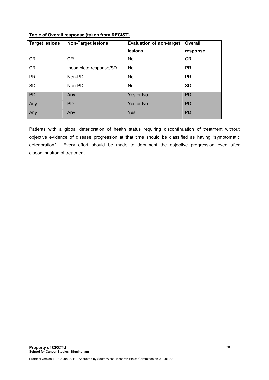## **Table of Overall response (taken from RECIST)**

| <b>Target lesions</b> | <b>Non-Target lesions</b> | <b>Evaluation of non-target</b> | <b>Overall</b> |
|-----------------------|---------------------------|---------------------------------|----------------|
|                       |                           | lesions                         | response       |
| <b>CR</b>             | <b>CR</b>                 | No                              | CR             |
| <b>CR</b>             | Incomplete response/SD    | No                              | <b>PR</b>      |
| <b>PR</b>             | Non-PD                    | <b>No</b>                       | <b>PR</b>      |
| <b>SD</b>             | Non-PD                    | <b>No</b>                       | <b>SD</b>      |
| <b>PD</b>             | Any                       | Yes or No                       | <b>PD</b>      |
| Any                   | <b>PD</b>                 | Yes or No                       | <b>PD</b>      |
| Any                   | Any                       | Yes                             | <b>PD</b>      |

Patients with a global deterioration of health status requiring discontinuation of treatment without objective evidence of disease progression at that time should be classified as having "symptomatic deterioration". Every effort should be made to document the objective progression even after discontinuation of treatment.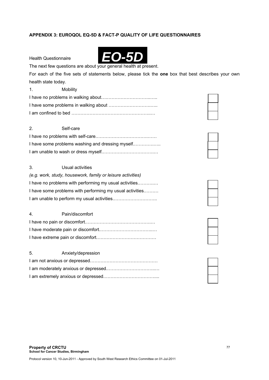## **APPENDIX 3: EUROQOL EQ-5D & FACT-P QUALITY OF LIFE QUESTIONNAIRES**

Health Questionnaire



The next few questions are about your general health at present.

For each of the five sets of statements below, please tick the **one** box that best describes your own health state today.

1. Mobility

## 2. Self-care

| I have some problems washing and dressing myself |
|--------------------------------------------------|
|                                                  |

## 3. Usual activities

| (e.g. work, study, housework, family or leisure activities) |
|-------------------------------------------------------------|
| I have no problems with performing my usual activities      |
| I have some problems with performing my usual activities    |
|                                                             |

| $\mathbf{4}$ | Pain/discomfort |
|--------------|-----------------|
|              |                 |
|              |                 |
|              |                 |

| -5. | Anxiety/depression |
|-----|--------------------|
|     |                    |
|     |                    |
|     |                    |



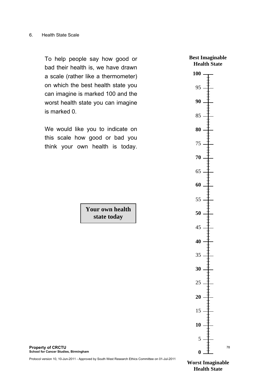To help people say how good or bad their health is, we have drawn a scale (rather like a thermometer) on which the best health state you can imagine is marked 100 and the worst health state you can imagine is marked 0.

We would like you to indicate on this scale how good or bad you think your own health is today.

> **Your own health state today**



**Property of CRCTU School for Cancer Studies, Birmingham** 

Protocol version 10, 10-Jun-2011 - Approved by South West Research Ethics Committee on 01-Jul-2011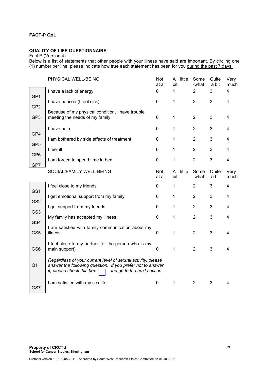## **FACT-P QoL**

## **QUALITY OF LIFE QUESTIONNAIRE**

Fact P (Version 4)

Below is a list of statements that other people with your illness have said are important. By circling one (1) number per line, please indicate how true each statement has been for you during the past 7 days.

|                 | PHYSICAL WELL-BEING                                                                                                                                                                          | Not<br>at all | A little<br>bit    | Some<br>-what  | Quite<br>a bit | Very<br>much   |
|-----------------|----------------------------------------------------------------------------------------------------------------------------------------------------------------------------------------------|---------------|--------------------|----------------|----------------|----------------|
| GP <sub>1</sub> | I have a lack of energy                                                                                                                                                                      | 0             | $\mathbf{1}$       | $\overline{2}$ | 3              | $\overline{4}$ |
| GP <sub>2</sub> | I have nausea (I feel sick)                                                                                                                                                                  | 0             | $\mathbf{1}$       | $\overline{2}$ | 3              | 4              |
| GP <sub>3</sub> | Because of my physical condition, I have trouble<br>meeting the needs of my family                                                                                                           | 0             | $\mathbf{1}$       | $\overline{2}$ | 3              | 4              |
| GP4             | I have pain                                                                                                                                                                                  | 0             | $\mathbf{1}$       | $\overline{2}$ | 3              | 4              |
|                 | I am bothered by side effects of treatment                                                                                                                                                   | 0             | $\mathbf{1}$       | $\overline{2}$ | 3              | 4              |
| GP <sub>5</sub> | I feel ill                                                                                                                                                                                   | 0             | $\mathbf{1}$       | $\overline{2}$ | 3              | 4              |
| GP <sub>6</sub> | I am forced to spend time in bed                                                                                                                                                             | 0             | 1                  | $\overline{2}$ | 3              | $\overline{4}$ |
| GP7             | SOCIAL/FAMILY WELL-BEING                                                                                                                                                                     | Not<br>at all | A<br>little<br>bit | Some<br>-what  | Quite<br>a bit | Very<br>much   |
| GS <sub>1</sub> | I feel close to my friends                                                                                                                                                                   | 0             | 1                  | $\overline{2}$ | 3              | $\overline{4}$ |
|                 | I get emotional support from my family                                                                                                                                                       | 0             | $\mathbf{1}$       | $\overline{2}$ | 3              | 4              |
| GS <sub>2</sub> | I get support from my friends                                                                                                                                                                | 0             | $\mathbf{1}$       | $\overline{2}$ | 3              | 4              |
| GS <sub>3</sub> | My family has accepted my illness                                                                                                                                                            | 0             | $\mathbf{1}$       | $\overline{2}$ | 3              | 4              |
| GS4             | I am satisfied with family communication about my                                                                                                                                            |               |                    |                |                |                |
| GS <sub>5</sub> | illness                                                                                                                                                                                      | 0             | 1                  | $\overline{2}$ | 3              | 4              |
| GS <sub>6</sub> | I feel close to my partner (or the person who is my<br>main support)                                                                                                                         | $\pmb{0}$     | $\mathbf{1}$       | $\overline{2}$ | 3              | 4              |
| Q <sub>1</sub>  | Regardless of your current level of sexual activity, please<br>answer the following question. If you prefer not to answer<br>it, please check this box $\Box$<br>and go to the next section. |               |                    |                |                |                |
| GS7             | I am satisfied with my sex life                                                                                                                                                              | 0             | $\mathbf{1}$       | $\overline{2}$ | 3              | 4              |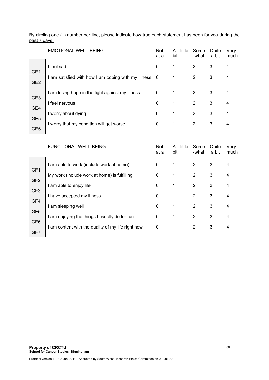By circling one (1) number per line, please indicate how true each statement has been for you during the past 7 days.

|                                    | <b>EMOTIONAL WELL-BEING</b>                       | <b>Not</b><br>at all     | little<br>A<br>bit | Some<br>-what  | Quite<br>a bit | Very<br>much   |
|------------------------------------|---------------------------------------------------|--------------------------|--------------------|----------------|----------------|----------------|
| GE <sub>1</sub>                    | feel sad                                          | 0                        | 1                  | 2              | 3              | 4              |
| GE <sub>2</sub>                    | am satisfied with how I am coping with my illness | $\overline{\phantom{0}}$ | 1                  | 2              | 3              | 4              |
| GE <sub>3</sub>                    | am losing hope in the fight against my illness    | 0                        | 1                  | $\overline{2}$ | 3              | 4              |
| GE4                                | feel nervous                                      | $\mathbf{0}$             | 1                  | $\overline{2}$ | 3              | $\overline{4}$ |
|                                    | worry about dying                                 | $\mathbf 0$              | 1                  | $\overline{2}$ | 3              | 4              |
| GE <sub>5</sub><br>GE <sub>6</sub> | I worry that my condition will get worse          | $\mathbf 0$              | 1                  | 2              | 3              | 4              |

|                 | <b>FUNCTIONAL WELL-BEING</b>                     | Not<br>at all | little<br>A<br>bit | Some<br>-what  | Quite<br>a bit | Very<br>much   |
|-----------------|--------------------------------------------------|---------------|--------------------|----------------|----------------|----------------|
| GF1             | am able to work (include work at home)           | 0             | 1                  | $\overline{2}$ | 3              | 4              |
| GF <sub>2</sub> | My work (include work at home) is fulfilling     | 0             | 1                  | 2              | 3              | 4              |
|                 | I am able to enjoy life                          | 0             | 1                  | 2              | 3              | $\overline{4}$ |
| GF <sub>3</sub> | I have accepted my illness                       | $\mathbf 0$   | 1                  | $\overline{2}$ | 3              | 4              |
| GF4             | am sleeping well                                 | $\mathbf 0$   | 1                  | 2              | 3              | 4              |
| GF <sub>5</sub> | am enjoying the things I usually do for fun      | 0             | 1                  | $\overline{2}$ | 3              | 4              |
| GF <sub>6</sub> | am content with the quality of my life right now | 0             | 1                  | 2              | 3              | 4              |
| GF7             |                                                  |               |                    |                |                |                |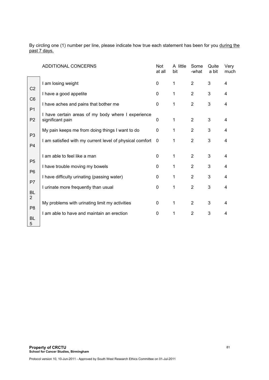By circling one (1) number per line, please indicate how true each statement has been for you during the past 7 days.

|                                  | <b>ADDITIONAL CONCERNS</b>                                             | Not<br>at all | A little<br>bit | Some<br>-what  | Quite<br>a bit | Very<br>much   |
|----------------------------------|------------------------------------------------------------------------|---------------|-----------------|----------------|----------------|----------------|
| C <sub>2</sub>                   | I am losing weight                                                     | $\mathbf 0$   | $\mathbf{1}$    | 2              | 3              | 4              |
| C <sub>6</sub>                   | I have a good appetite                                                 | $\mathbf 0$   | 1               | $\overline{2}$ | 3              | 4              |
| P <sub>1</sub>                   | I have aches and pains that bother me                                  | 0             | 1               | $\overline{2}$ | 3              | 4              |
| P <sub>2</sub>                   | I have certain areas of my body where I experience<br>significant pain | 0             | 1               | $\overline{2}$ | 3              | 4              |
| P <sub>3</sub>                   | My pain keeps me from doing things I want to do                        | 0             | 1               | $\overline{2}$ | 3              | 4              |
| P <sub>4</sub>                   | I am satisfied with my current level of physical comfort               | 0             | 1               | $\overline{2}$ | 3              | $\overline{4}$ |
| P <sub>5</sub>                   | I am able to feel like a man                                           | 0             | 1               | $\overline{2}$ | 3              | 4              |
| P <sub>6</sub><br>P <sub>7</sub> | I have trouble moving my bowels                                        | 0             | 1               | $\overline{2}$ | 3              | 4              |
|                                  | I have difficulty urinating (passing water)                            | 0             | 1               | $\overline{2}$ | 3              | 4              |
| <b>BL</b><br>$\overline{2}$      | I urinate more frequently than usual                                   | 0             | 1               | $\overline{2}$ | 3              | 4              |
| P <sub>8</sub>                   | My problems with urinating limit my activities                         | $\mathbf 0$   | 1               | $\overline{2}$ | 3              | 4              |
| <b>BL</b><br>5                   | I am able to have and maintain an erection                             | 0             | 1               | 2              | 3              | 4              |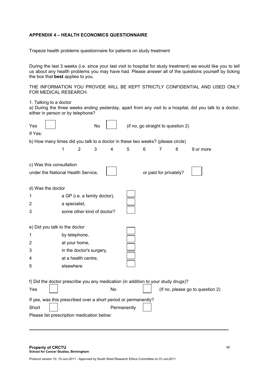## **APPENDIX 4 – HEALTH ECONOMICS QUESTIONNAIRE**

Trapeze health problems questionnaire for patients on study treatment

During the last 3 weeks (i.e. since your last visit to hospital for study treatment) we would like you to tell us about any health problems you may have had. Please answer all of the questions yourself by ticking the box that **best** applies to you.

THE INFORMATION YOU PROVIDE WILL BE KEPT STRICTLY CONFIDENTIAL AND USED ONLY FOR MEDICAL RESEARCH.

1. Talking to a doctor

a) During the three weeks ending yesterday, apart from any visit to a hospital, did you talk to a doctor, either in person or by telephone?

| Yes                                                                            |  |               |                              | <b>No</b> |                                                                                   |             |   |                | (if no, go straight to question 2) |                                  |
|--------------------------------------------------------------------------------|--|---------------|------------------------------|-----------|-----------------------------------------------------------------------------------|-------------|---|----------------|------------------------------------|----------------------------------|
| If Yes:                                                                        |  |               |                              |           |                                                                                   |             |   |                |                                    |                                  |
| b) How many times did you talk to a doctor in these two weeks? (please circle) |  |               |                              |           |                                                                                   |             |   |                |                                    |                                  |
|                                                                                |  | 1             | $\overline{2}$               | 3         | 4                                                                                 | 5           | 6 | $\overline{7}$ | 8                                  | 9 or more                        |
| c) Was this consultation                                                       |  |               |                              |           |                                                                                   |             |   |                |                                    |                                  |
| under the National Health Service,                                             |  |               |                              |           |                                                                                   |             |   |                | or paid for privately?             |                                  |
| d) Was the doctor                                                              |  |               |                              |           |                                                                                   |             |   |                |                                    |                                  |
| 1                                                                              |  |               | a GP (i.e. a family doctor), |           |                                                                                   |             |   |                |                                    |                                  |
| 2                                                                              |  | a specialist, |                              |           |                                                                                   |             |   |                |                                    |                                  |
| 3                                                                              |  |               | some other kind of doctor?   |           |                                                                                   |             |   |                |                                    |                                  |
| e) Did you talk to the doctor                                                  |  |               |                              |           |                                                                                   |             |   |                |                                    |                                  |
| 1                                                                              |  |               | by telephone,                |           |                                                                                   |             |   |                |                                    |                                  |
| $\overline{2}$                                                                 |  |               | at your home,                |           |                                                                                   |             |   |                |                                    |                                  |
| 3                                                                              |  |               | in the doctor's surgery,     |           |                                                                                   |             |   |                |                                    |                                  |
| 4                                                                              |  |               | at a health centre,          |           |                                                                                   |             |   |                |                                    |                                  |
| 5                                                                              |  | elsewhere     |                              |           |                                                                                   |             |   |                |                                    |                                  |
|                                                                                |  |               |                              |           | f) Did the doctor prescribe you any medication (in addition to your study drugs)? |             |   |                |                                    |                                  |
| Yes                                                                            |  |               |                              |           | No                                                                                |             |   |                |                                    | (If no, please go to question 2) |
|                                                                                |  |               |                              |           | If yes, was this prescribed over a short period or permanently?                   |             |   |                |                                    |                                  |
| Short                                                                          |  |               |                              |           |                                                                                   | Permanently |   |                |                                    |                                  |
| Please list prescription medication below:                                     |  |               |                              |           |                                                                                   |             |   |                |                                    |                                  |
|                                                                                |  |               |                              |           |                                                                                   |             |   |                |                                    |                                  |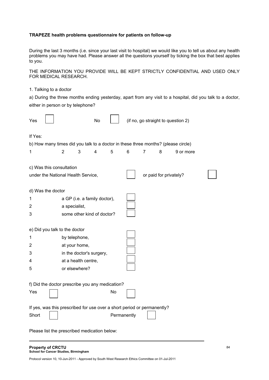## **TRAPEZE health problems questionnaire for patients on follow-up**

During the last 3 months (i.e. since your last visit to hospital) we would like you to tell us about any health problems you may have had. Please answer all the questions yourself by ticking the box that best applies to you.

THE INFORMATION YOU PROVIDE WILL BE KEPT STRICTLY CONFIDENTIAL AND USED ONLY FOR MEDICAL RESEARCH.

1. Talking to a doctor

a) During the three months ending yesterday, apart from any visit to a hospital, did you talk to a doctor, either in person or by telephone?

| Yes                                                                               |                |                              | <b>No</b> |             |   |   | (if no, go straight to question 2) |           |  |
|-----------------------------------------------------------------------------------|----------------|------------------------------|-----------|-------------|---|---|------------------------------------|-----------|--|
| If Yes:                                                                           |                |                              |           |             |   |   |                                    |           |  |
| b) How many times did you talk to a doctor in these three months? (please circle) |                |                              |           |             |   |   |                                    |           |  |
| 1                                                                                 | $\overline{2}$ | 3                            | 4         | 5           | 6 | 7 | 8                                  | 9 or more |  |
| c) Was this consultation                                                          |                |                              |           |             |   |   |                                    |           |  |
| under the National Health Service,                                                |                |                              |           |             |   |   | or paid for privately?             |           |  |
| d) Was the doctor                                                                 |                |                              |           |             |   |   |                                    |           |  |
| 1                                                                                 |                | a GP (i.e. a family doctor), |           |             |   |   |                                    |           |  |
| $\overline{2}$                                                                    | a specialist,  |                              |           |             |   |   |                                    |           |  |
| 3                                                                                 |                | some other kind of doctor?   |           |             |   |   |                                    |           |  |
|                                                                                   |                |                              |           |             |   |   |                                    |           |  |
| e) Did you talk to the doctor                                                     |                |                              |           |             |   |   |                                    |           |  |
| 1                                                                                 | by telephone,  |                              |           |             |   |   |                                    |           |  |
| $\overline{2}$                                                                    | at your home,  |                              |           |             |   |   |                                    |           |  |
| 3                                                                                 |                | in the doctor's surgery,     |           |             |   |   |                                    |           |  |
| 4                                                                                 |                | at a health centre,          |           |             |   |   |                                    |           |  |
| 5                                                                                 | or elsewhere?  |                              |           |             |   |   |                                    |           |  |
| f) Did the doctor prescribe you any medication?                                   |                |                              |           |             |   |   |                                    |           |  |
| Yes                                                                               |                |                              |           | <b>No</b>   |   |   |                                    |           |  |
|                                                                                   |                |                              |           |             |   |   |                                    |           |  |
| If yes, was this prescribed for use over a short period or permanently?           |                |                              |           |             |   |   |                                    |           |  |
| Short                                                                             |                |                              |           | Permanently |   |   |                                    |           |  |
| Please list the prescribed medication below:                                      |                |                              |           |             |   |   |                                    |           |  |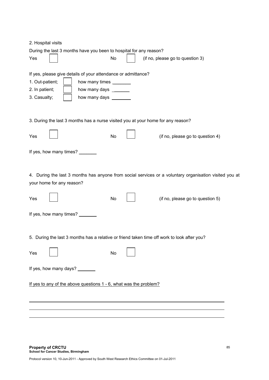2. Hospital visits

| During the last 3 months have you been to hospital for any reason?                                                                                                                              |         |                                                                                                                                            |
|-------------------------------------------------------------------------------------------------------------------------------------------------------------------------------------------------|---------|--------------------------------------------------------------------------------------------------------------------------------------------|
| Yes                                                                                                                                                                                             | No      | (if no, please go to question 3)                                                                                                           |
| If yes, please give details of your attendance or admittance?<br>1. Out-patient;<br>how many times ________<br>2. In patient;<br>how many days _______<br>3. Casualty;<br>how many days _______ |         |                                                                                                                                            |
| 3. During the last 3 months has a nurse visited you at your home for any reason?                                                                                                                |         |                                                                                                                                            |
| Yes                                                                                                                                                                                             | No      | (if no, please go to question 4)                                                                                                           |
| If yes, how many times?                                                                                                                                                                         |         |                                                                                                                                            |
| your home for any reason?<br>Yes<br>If yes, how many times?                                                                                                                                     | No      | 4. During the last 3 months has anyone from social services or a voluntary organisation visited you at<br>(if no, please go to question 5) |
| 5. During the last 3 months has a relative or friend taken time off work to look after you?                                                                                                     |         |                                                                                                                                            |
| ┍<br>Yes                                                                                                                                                                                        | ┍<br>No |                                                                                                                                            |
| If yes, how many days? _______                                                                                                                                                                  |         |                                                                                                                                            |
| If yes to any of the above questions 1 - 6, what was the problem?                                                                                                                               |         |                                                                                                                                            |
|                                                                                                                                                                                                 |         |                                                                                                                                            |
|                                                                                                                                                                                                 |         |                                                                                                                                            |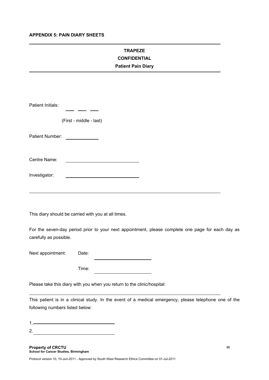## **APPENDIX 5: PAIN DIARY SHEETS**

.

| TRAPEZE      |
|--------------|
| CONFIDENTIAL |

# **Patient Pain Diary**

| Patient Initials:               |                                                                                                       |  |
|---------------------------------|-------------------------------------------------------------------------------------------------------|--|
|                                 | (First - middle - last)                                                                               |  |
| Patient Number:                 | <u> 1999 - Jan James Barnett, politik e</u> ta eta eskualdean                                         |  |
| Centre Name:                    |                                                                                                       |  |
| Investigator:                   |                                                                                                       |  |
|                                 |                                                                                                       |  |
|                                 | This diary should be carried with you at all times.                                                   |  |
| carefully as possible.          | For the seven-day period prior to your next appointment, please complete one page for each day as     |  |
| Next appointment:               | Date:                                                                                                 |  |
|                                 | Time:                                                                                                 |  |
|                                 | Please take this diary with you when you return to the clinic/hospital:                               |  |
| following numbers listed below: | This patient is in a clinical study. In the event of a medical emergency, please telephone one of the |  |
| 2.                              |                                                                                                       |  |
|                                 |                                                                                                       |  |

**Property of CRCTU School for Cancer Studies, Birmingham**